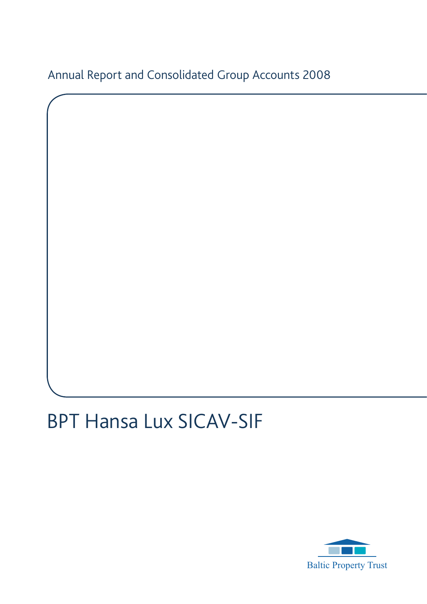Annual Report and Consolidated Group Accounts 2008

# BPT Hansa Lux SICAV-SIF

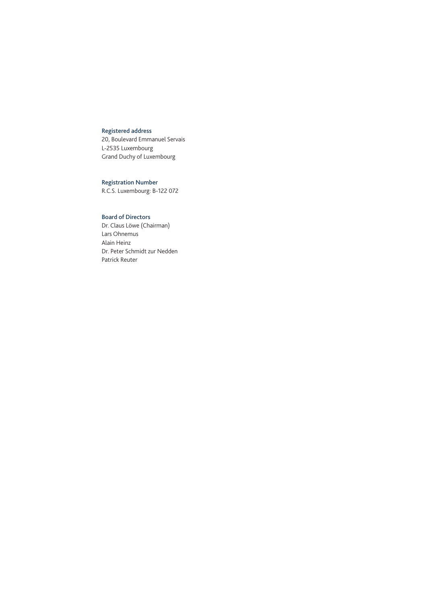## Registered address

20, Boulevard Emmanuel Servais L-2535 Luxembourg Grand Duchy of Luxembourg

## Registration Number

R.C.S. Luxembourg: B-122 072

## Board of Directors

Dr. Claus Löwe (Chairman) Lars Ohnemus Alain Heinz Dr. Peter Schmidt zur Nedden Patrick Reuter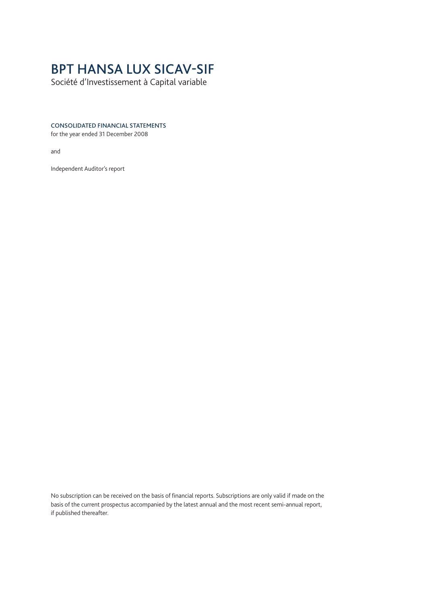## BPT HANSA LUX SICAV-SIF

Société d'Investissement à Capital variable

## CONSOLIDATED FINANCIAL STATEMENTS

for the year ended 31 December 2008

and

Independent Auditor's report

No subscription can be received on the basis of financial reports. Subscriptions are only valid if made on the basis of the current prospectus accompanied by the latest annual and the most recent semi-annual report, if published thereafter.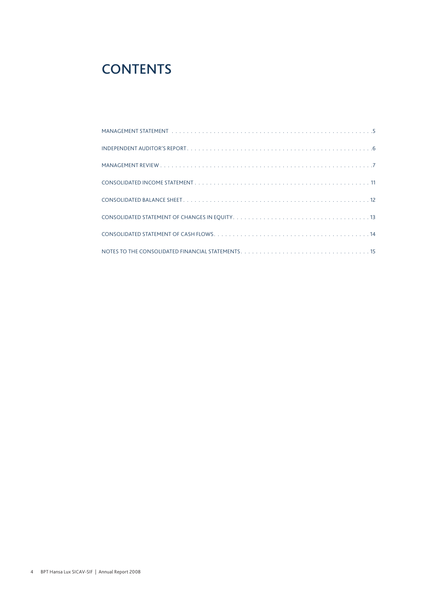## **CONTENTS**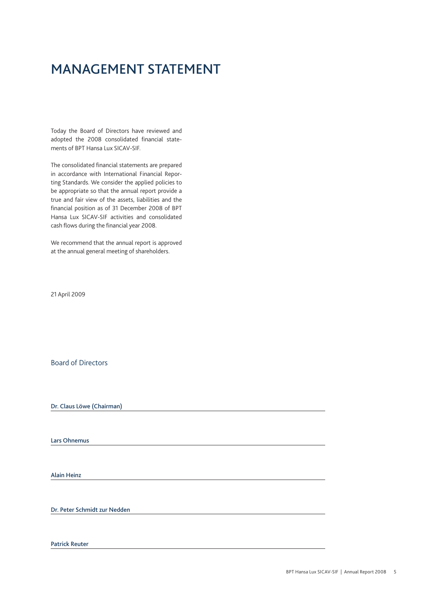## MANAGEMENT STATEMENT

Today the Board of Directors have reviewed and adopted the 2008 consolidated financial statements of BPT Hansa Lux SICAV-SIF.

The consolidated financial statements are prepared in accordance with International Financial Reporting Standards. We consider the applied policies to be appropriate so that the annual report provide a true and fair view of the assets, liabilities and the financial position as of 31 December 2008 of BPT Hansa Lux SICAV-SIF activities and consolidated cash flows during the financial year 2008.

We recommend that the annual report is approved at the annual general meeting of shareholders.

21 April 2009

Board of Directors

Dr. Claus Löwe (Chairman)

Lars Ohnemus

Alain Heinz

Dr. Peter Schmidt zur Nedden

Patrick Reuter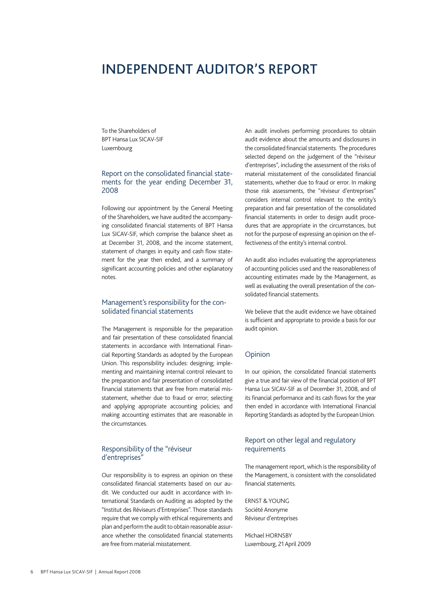## Independent Auditor's report

To the Shareholders of BPT Hansa Lux SICAV-SIF Luxembourg

## Report on the consolidated financial statements for the year ending December 31, 2008

Following our appointment by the General Meeting of the Shareholders, we have audited the accompanying consolidated financial statements of BPT Hansa Lux SICAV-SIF, which comprise the balance sheet as at December 31, 2008, and the income statement, statement of changes in equity and cash flow statement for the year then ended, and a summary of significant accounting policies and other explanatory notes.

## Management's responsibility for the consolidated financial statements

The Management is responsible for the preparation and fair presentation of these consolidated financial statements in accordance with International Financial Reporting Standards as adopted by the European Union. This responsibility includes: designing; implementing and maintaining internal control relevant to the preparation and fair presentation of consolidated financial statements that are free from material misstatement, whether due to fraud or error; selecting and applying appropriate accounting policies; and making accounting estimates that are reasonable in the circumstances.

## Responsibility of the "réviseur d'entreprises"

Our responsibility is to express an opinion on these consolidated financial statements based on our audit. We conducted our audit in accordance with International Standards on Auditing as adopted by the "Institut des Réviseurs d'Entreprises". Those standards require that we comply with ethical requirements and plan and perform the audit to obtain reasonable assurance whether the consolidated financial statements are free from material misstatement.

An audit involves performing procedures to obtain audit evidence about the amounts and disclosures in the consolidated financial statements. The procedures selected depend on the judgement of the "réviseur d'entreprises", including the assessment of the risks of material misstatement of the consolidated financial statements, whether due to fraud or error. In making those risk assessments, the "réviseur d'entreprises" considers internal control relevant to the entity's preparation and fair presentation of the consolidated financial statements in order to design audit procedures that are appropriate in the circumstances, but not for the purpose of expressing an opinion on the effectiveness of the entity's internal control.

An audit also includes evaluating the appropriateness of accounting policies used and the reasonableness of accounting estimates made by the Management, as well as evaluating the overall presentation of the consolidated financial statements.

We believe that the audit evidence we have obtained is sufficient and appropriate to provide a basis for our audit opinion.

#### Opinion

In our opinion, the consolidated financial statements give a true and fair view of the financial position of BPT Hansa Lux SICAV-SIF as of December 31, 2008, and of its financial performance and its cash flows for the year then ended in accordance with International Financial Reporting Standards as adopted by the European Union.

## Report on other legal and regulatory requirements

The management report, which is the responsibility of the Management, is consistent with the consolidated financial statements.

ERNST & YOUNG Société Anonyme Réviseur d'entreprises

Michael HORNSBY Luxembourg, 21 April 2009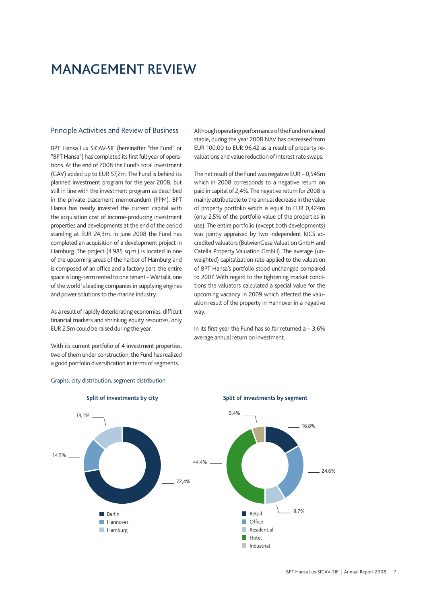## MANAGEMENT REVIEW

#### Principle Activities and Review of Business

BPT Hansa Lux SICAV-SIF (hereinafter "the Fund" or "BPT Hansa") has completed its first full year of operations. At the end of 2008 the Fund's total investment (GAV) added up to EUR 57,2m. The Fund is behind its planned investment program for the year 2008, but still in line with the investment program as described in the private placement memorandum (PPM). BPT Hansa has nearly invested the current capital with the acquisition cost of income-producing investment properties and developments at the end of the period standing at EUR 24,3m. In June 2008 the Fund has completed an acquisition of a development project in Hamburg. The project (4.985 sq.m.) is located in one of the upcoming areas of the harbor of Hamburg and is composed of an office and a factory part: the entire space is long-term rented to one tenant – Wärtsilä, one of the world´s leading companies in supplying engines and power solutions to the marine industry.

As a result of rapidly deteriorating economies, difficult financial markets and shrinking equity resources, only EUR 2,5m could be raised during the year.

With its current portfolio of 4 investment properties, two of them under construction, the Fund has realized a good portfolio diversification in terms of segments.

Although operating performance of the Fund remained stable, during the year 2008 NAV has decreased from EUR 100,00 to EUR 96,42 as a result of property revaluations and value reduction of interest rate swaps.

The net result of the Fund was negative EUR – 0,545m which in 2008 corresponds to a negative return on paid in capital of 2,4%. The negative return for 2008 is mainly attributable to the annual decrease in the value of property portfolio which is equal to EUR 0,424m (only 2,5% of the portfolio value of the properties in use). The entire portfolio (except both developments) was jointly appraised by two independent RICS accredited valuators (BulwienGesa Valuation GmbH and Catella Property Valuation GmbH). The average (unweighted) capitalization rate applied to the valuation of BPT Hansa's portfolio stood unchanged compared to 2007. With regard to the tightening market conditions the valuators calculated a special value for the upcoming vacancy in 2009 which affected the valuation result of the property in Hannover in a negative way.

In its first year the Fund has so far returned  $a - 3.6\%$ average annual return on investment.



### Graphs: city distribution, segment distribution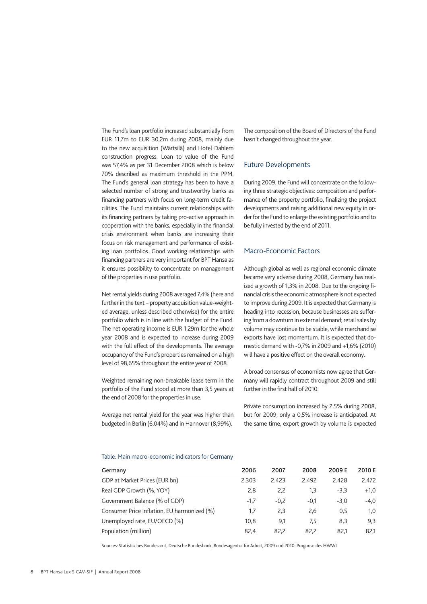The Fund's loan portfolio increased substantially from EUR 11,7m to EUR 30,2m during 2008, mainly due to the new acquisition (Wärtsilä) and Hotel Dahlem construction progress. Loan to value of the Fund was 57,4% as per 31 December 2008 which is below 70% described as maximum threshold in the PPM. The Fund's general loan strategy has been to have a selected number of strong and trustworthy banks as financing partners with focus on long-term credit facilities. The Fund maintains current relationships with its financing partners by taking pro-active approach in cooperation with the banks, especially in the financial crisis environment when banks are increasing their focus on risk management and performance of existing loan portfolios. Good working relationships with financing partners are very important for BPT Hansa as it ensures possibility to concentrate on management of the properties in use portfolio.

Net rental yields during 2008 averaged 7,4% (here and further in the text – property acquisition value-weighted average, unless described otherwise) for the entire portfolio which is in line with the budget of the Fund. The net operating income is EUR 1,29m for the whole year 2008 and is expected to increase during 2009 with the full effect of the developments. The average occupancy of the Fund's properties remained on a high level of 98,65% throughout the entire year of 2008.

Weighted remaining non-breakable lease term in the portfolio of the Fund stood at more than 3,5 years at the end of 2008 for the properties in use.

Average net rental yield for the year was higher than budgeted in Berlin (6,04%) and in Hannover (8,99%).

The composition of the Board of Directors of the Fund hasn't changed throughout the year.

#### Future Developments

During 2009, the Fund will concentrate on the following three strategic objectives: composition and performance of the property portfolio, finalizing the project developments and raising additional new equity in order for the Fund to enlarge the existing portfolio and to be fully invested by the end of 2011.

### Macro-Economic Factors

Although global as well as regional economic climate became very adverse during 2008, Germany has realized a growth of 1,3% in 2008. Due to the ongoing financial crisis the economic atmosphere is not expected to improve during 2009. It is expected that Germany is heading into recession, because businesses are suffering from a downturn in external demand; retail sales by volume may continue to be stable, while merchandise exports have lost momentum. It is expected that domestic demand with -0,7% in 2009 and +1,6% (2010) will have a positive effect on the overall economy.

A broad consensus of economists now agree that Germany will rapidly contract throughout 2009 and still further in the first half of 2010.

Private consumption increased by 2,5% during 2008, but for 2009, only a 0,5% increase is anticipated. At the same time, export growth by volume is expected

#### Table: Main macro-economic indicators for Germany

| Germany                                     | 2006   | 2007   | 2008   | 2009 E | 2010 E |
|---------------------------------------------|--------|--------|--------|--------|--------|
| GDP at Market Prices (EUR bn)               | 2.303  | 2.423  | 2.492  | 2.428  | 2.472  |
| Real GDP Growth (%, YOY)                    | 2,8    | 2,2    | 1,3    | $-3.3$ | $+1,0$ |
| Government Balance (% of GDP)               | $-1.7$ | $-0.2$ | $-0.1$ | $-3.0$ | -4.0   |
| Consumer Price Inflation, EU harmonized (%) | 1,7    | 2,3    | 2,6    | 0,5    | 1,0    |
| Unemployed rate, EU/OECD (%)                | 10.8   | 9.1    | 7.5    | 8.3    | 9,3    |
| Population (million)                        | 82.4   | 82.2   | 82.2   | 82.1   | 82,1   |

Sources: Statistisches Bundesamt, Deutsche Bundesbank, Bundesagentur für Arbeit, 2009 und 2010: Prognose des HWWI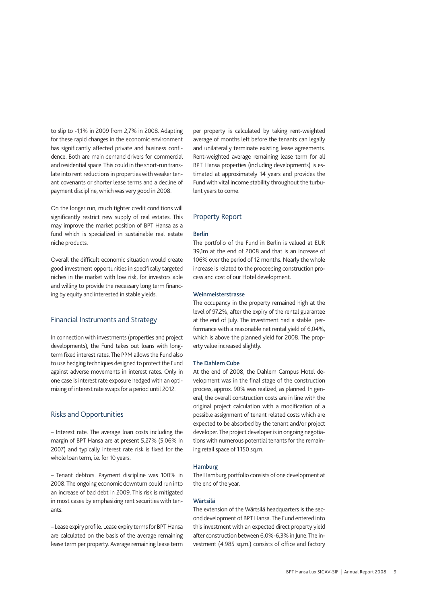to slip to -1,1% in 2009 from 2,7% in 2008. Adapting for these rapid changes in the economic environment has significantly affected private and business confidence. Both are main demand drivers for commercial and residential space. This could in the short-run translate into rent reductions in properties with weaker tenant covenants or shorter lease terms and a decline of payment discipline, which was very good in 2008.

On the longer run, much tighter credit conditions will significantly restrict new supply of real estates. This may improve the market position of BPT Hansa as a fund which is specialized in sustainable real estate niche products.

Overall the difficult economic situation would create good investment opportunities in specifically targeted niches in the market with low risk, for investors able and willing to provide the necessary long term financing by equity and interested in stable yields.

## Financial Instruments and Strategy

In connection with investments (properties and project developments), the Fund takes out loans with longterm fixed interest rates. The PPM allows the Fund also to use hedging techniques designed to protect the Fund against adverse movements in interest rates. Only in one case is interest rate exposure hedged with an optimizing of interest rate swaps for a period until 2012.

### Risks and Opportunities

– Interest rate. The average loan costs including the margin of BPT Hansa are at present 5,27% (5,06% in 2007) and typically interest rate risk is fixed for the whole loan term, i.e. for 10 years.

– Tenant debtors. Payment discipline was 100% in 2008. The ongoing economic downturn could run into an increase of bad debt in 2009. This risk is mitigated in most cases by emphasizing rent securities with tenants.

– Lease expiry profile. Lease expiry terms for BPT Hansa are calculated on the basis of the average remaining lease term per property. Average remaining lease term

per property is calculated by taking rent-weighted average of months left before the tenants can legally and unilaterally terminate existing lease agreements. Rent-weighted average remaining lease term for all BPT Hansa properties (including developments) is estimated at approximately 14 years and provides the Fund with vital income stability throughout the turbulent years to come.

#### Property Report

#### Berlin

The portfolio of the Fund in Berlin is valued at EUR 39,1m at the end of 2008 and that is an increase of 106% over the period of 12 months. Nearly the whole increase is related to the proceeding construction process and cost of our Hotel development.

#### Weinmeisterstrasse

The occupancy in the property remained high at the level of 97,2%, after the expiry of the rental guarantee at the end of July. The investment had a stable performance with a reasonable net rental yield of 6,04%, which is above the planned yield for 2008. The property value increased slightly.

#### The Dahlem Cube

At the end of 2008, the Dahlem Campus Hotel development was in the final stage of the construction process, approx. 90% was realized, as planned. In general, the overall construction costs are in line with the original project calculation with a modification of a possible assignment of tenant related costs which are expected to be absorbed by the tenant and/or project developer. The project developer is in ongoing negotiations with numerous potential tenants for the remaining retail space of 1.150 sq.m.

#### Hamburg

The Hamburg portfolio consists of one development at the end of the year.

#### Wärtsilä

The extension of the Wärtsilä headquarters is the second development of BPT Hansa. The Fund entered into this investment with an expected direct property yield after construction between 6,0%-6,3% in June. The investment (4.985 sq.m.) consists of office and factory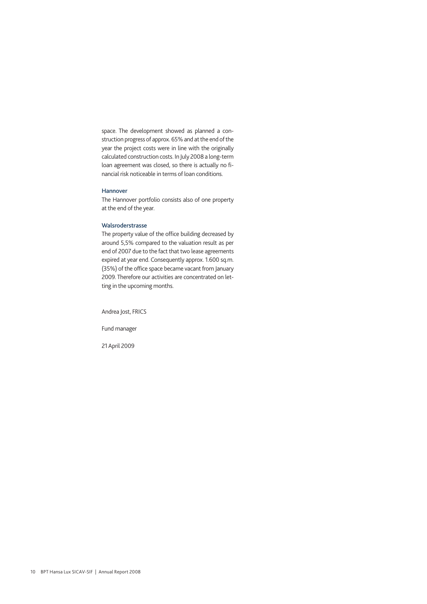space. The development showed as planned a construction progress of approx. 65% and at the end of the year the project costs were in line with the originally calculated construction costs. In July 2008 a long-term loan agreement was closed, so there is actually no financial risk noticeable in terms of loan conditions.

#### Hannover

The Hannover portfolio consists also of one property at the end of the year.

#### Walsroderstrasse

The property value of the office building decreased by around 5,5% compared to the valuation result as per end of 2007 due to the fact that two lease agreements expired at year end. Consequently approx. 1.600 sq.m. (35%) of the office space became vacant from January 2009. Therefore our activities are concentrated on letting in the upcoming months.

Andrea Jost, FRICS

Fund manager

21 April 2009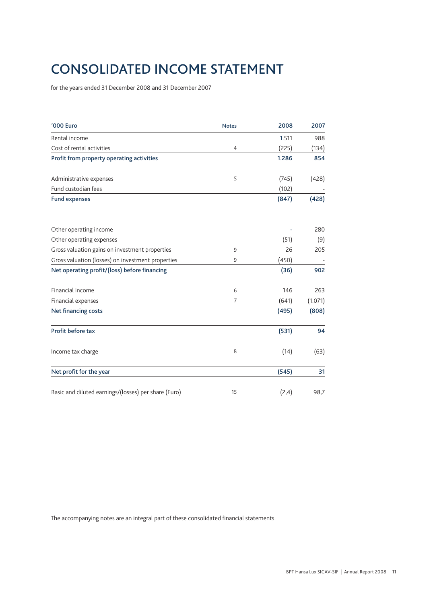## CONSOLIDATED Income statement

for the years ended 31 December 2008 and 31 December 2007

| '000 Euro                                            | <b>Notes</b>   | 2008  | 2007    |
|------------------------------------------------------|----------------|-------|---------|
| Rental income                                        |                | 1.511 | 988     |
| Cost of rental activities                            | $\overline{4}$ | (225) | (134)   |
| Profit from property operating activities            |                | 1.286 | 854     |
| Administrative expenses                              | 5              | (745) | (428)   |
| Fund custodian fees                                  |                | (102) |         |
| <b>Fund expenses</b>                                 |                | (847) | (428)   |
| Other operating income                               |                |       | 280     |
| Other operating expenses                             |                | (51)  | (9)     |
| Gross valuation gains on investment properties       | 9              | 26    | 205     |
| Gross valuation (losses) on investment properties    | 9              | (450) |         |
| Net operating profit/(loss) before financing         |                | (36)  | 902     |
| Financial income                                     | 6              | 146   | 263     |
| Financial expenses                                   | 7              | (641) | (1.071) |
| <b>Net financing costs</b>                           |                | (495) | (808)   |
| Profit before tax                                    |                | (531) | 94      |
| Income tax charge                                    | 8              | (14)  | (63)    |
| Net profit for the year                              |                | (545) | 31      |
| Basic and diluted earnings/(losses) per share (Euro) | 15             | (2,4) | 98,7    |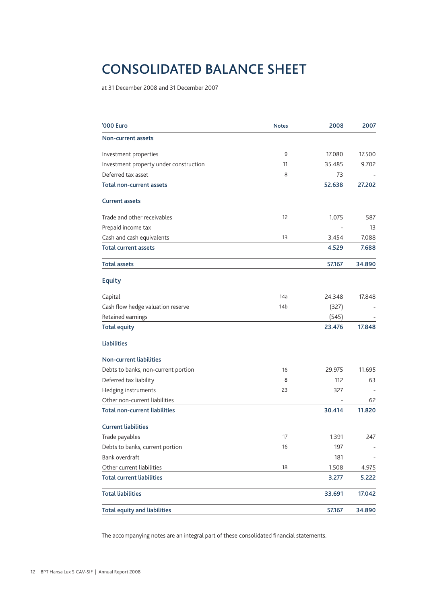## CONSOLIDATED BALANCE SHEET

at 31 December 2008 and 31 December 2007

| '000 Euro                              | <b>Notes</b> | 2008   | 2007   |
|----------------------------------------|--------------|--------|--------|
| Non-current assets                     |              |        |        |
| Investment properties                  | 9            | 17.080 | 17.500 |
| Investment property under construction | 11           | 35.485 | 9.702  |
| Deferred tax asset                     | 8            | 73     |        |
| Total non-current assets               |              | 52.638 | 27.202 |
| <b>Current assets</b>                  |              |        |        |
| Trade and other receivables            | 12           | 1.075  | 587    |
| Prepaid income tax                     |              |        | 13     |
| Cash and cash equivalents              | 13           | 3.454  | 7.088  |
| <b>Total current assets</b>            |              | 4.529  | 7.688  |
| <b>Total assets</b>                    |              | 57.167 | 34.890 |
| <b>Equity</b>                          |              |        |        |
| Capital                                | 14a          | 24.348 | 17.848 |
| Cash flow hedge valuation reserve      | 14b          | (327)  |        |
| Retained earnings                      |              | (545)  |        |
| <b>Total equity</b>                    |              | 23.476 | 17.848 |
| Liabilities                            |              |        |        |
| <b>Non-current liabilities</b>         |              |        |        |
| Debts to banks, non-current portion    | 16           | 29.975 | 11.695 |
| Deferred tax liability                 | 8            | 112    | 63     |
| Hedging instruments                    | 23           | 327    |        |
| Other non-current liabilities          |              |        | 62     |
| <b>Total non-current liabilities</b>   |              | 30.414 | 11.820 |
| <b>Current liabilities</b>             |              |        |        |
| Trade payables                         | 17           | 1.391  | 247    |
| Debts to banks, current portion        | 16           | 197    |        |
| Bank overdraft                         |              | 181    |        |
| Other current liabilities              | 18           | 1.508  | 4.975  |
| <b>Total current liabilities</b>       |              | 3.277  | 5.222  |
| <b>Total liabilities</b>               |              | 33.691 | 17.042 |
| <b>Total equity and liabilities</b>    |              | 57.167 | 34.890 |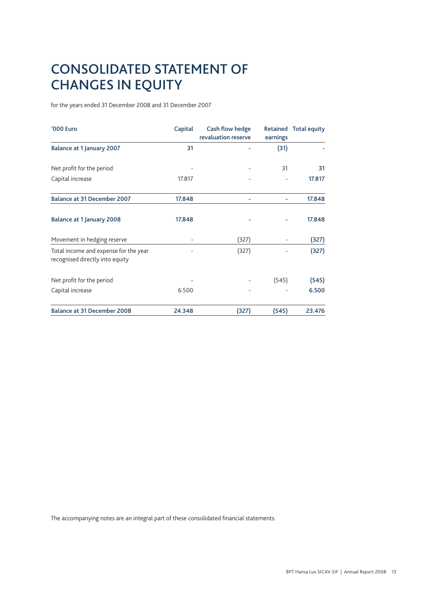## CONSOLIDATED STATEMENT OF CHANGES IN EQUITY

for the years ended 31 December 2008 and 31 December 2007

| '000 Euro                                                                | Capital | Cash flow hedge<br>revaluation reserve | earnings | Retained Total equity |
|--------------------------------------------------------------------------|---------|----------------------------------------|----------|-----------------------|
| <b>Balance at 1 January 2007</b>                                         | 31      |                                        | (31)     |                       |
| Net profit for the period                                                |         |                                        | 31       | 31                    |
| Capital increase                                                         | 17.817  |                                        |          | 17.817                |
| <b>Balance at 31 December 2007</b>                                       | 17.848  |                                        |          | 17.848                |
| Balance at 1 January 2008                                                | 17.848  |                                        |          | 17.848                |
| Movement in hedging reserve                                              |         | (327)                                  |          | (327)                 |
| Total income and expense for the year<br>recognised directly into equity |         | (327)                                  |          | (327)                 |
| Net profit for the period                                                |         |                                        | (545)    | (545)                 |
| Capital increase                                                         | 6.500   |                                        |          | 6.500                 |
| <b>Balance at 31 December 2008</b>                                       | 24.348  | (327)                                  | (545)    | 23.476                |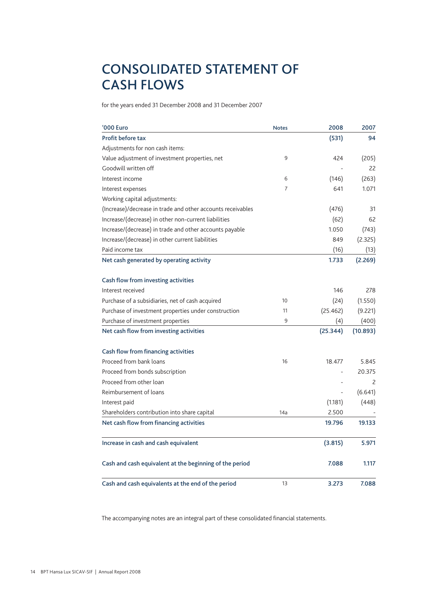## CONSOLIDATED STATEMENT OF CASH FLOWS

for the years ended 31 December 2008 and 31 December 2007

| '000 Euro                                                   | <b>Notes</b>   | 2008     | 2007     |
|-------------------------------------------------------------|----------------|----------|----------|
| Profit before tax                                           |                | (531)    | 94       |
| Adjustments for non cash items:                             |                |          |          |
| Value adjustment of investment properties, net              | 9              | 424      | (205)    |
| Goodwill written off                                        |                |          | 22       |
| Interest income                                             | 6              | (146)    | (263)    |
| Interest expenses                                           | $\overline{7}$ | 641      | 1.071    |
| Working capital adjustments:                                |                |          |          |
| (Increase)/decrease in trade and other accounts receivables |                | (476)    | 31       |
| Increase/(decrease) in other non-current liabilities        |                | (62)     | 62       |
| Increase/(decrease) in trade and other accounts payable     |                | 1.050    | (743)    |
| Increase/(decrease) in other current liabilities            |                | 849      | (2.325)  |
| Paid income tax                                             |                | (16)     | (13)     |
| Net cash generated by operating activity                    |                | 1.733    | (2.269)  |
| Cash flow from investing activities                         |                |          |          |
| Interest received                                           |                | 146      | 278      |
| Purchase of a subsidiaries, net of cash acquired            | 10             | (24)     | (1.550)  |
| Purchase of investment properties under construction        | 11             | (25.462) | (9.221)  |
| Purchase of investment properties                           | 9              | (4)      | (400)    |
| Net cash flow from investing activities                     |                | (25.344) | (10.893) |
| Cash flow from financing activities                         |                |          |          |
| Proceed from bank loans                                     | 16             | 18.477   | 5.845    |
| Proceed from bonds subscription                             |                |          | 20.375   |
| Proceed from other loan                                     |                |          | 2        |
| Reimbursement of loans                                      |                |          | (6.641)  |
| Interest paid                                               |                | (1.181)  | (448)    |
| Shareholders contribution into share capital                | 14a            | 2.500    |          |
| Net cash flow from financing activities                     |                | 19.796   | 19.133   |
| Increase in cash and cash equivalent                        |                | (3.815)  | 5.971    |
| Cash and cash equivalent at the beginning of the period     |                | 7.088    | 1.117    |
| Cash and cash equivalents at the end of the period          | 13             | 3.273    | 7.088    |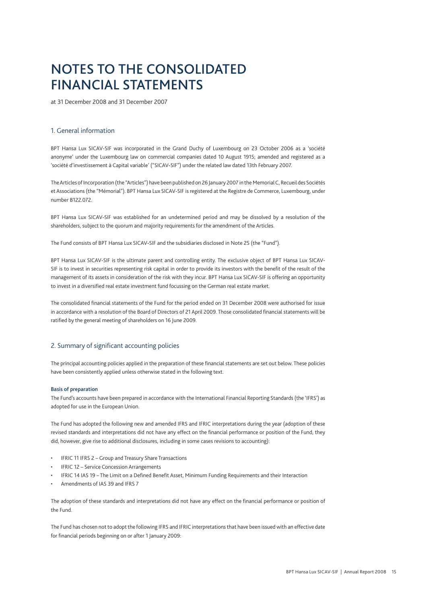## NOTES to the CONSOLIDATED financial statements

at 31 December 2008 and 31 December 2007

### 1. General information

BPT Hansa Lux SICAV-SIF was incorporated in the Grand Duchy of Luxembourg on 23 October 2006 as a 'société anonyme' under the Luxembourg law on commercial companies dated 10 August 1915; amended and registered as a 'société d'investissement à Capital variable' ("SICAV-SIF") under the related law dated 13th February 2007.

The Articles of Incorporation (the "Articles") have been published on 26 January 2007 in the Memorial C, Recueil des Sociétés et Associations (the "Mémorial"). BPT Hansa Lux SICAV-SIF is registered at the Registre de Commerce, Luxembourg, under number B122.072.

BPT Hansa Lux SICAV-SIF was established for an undetermined period and may be dissolved by a resolution of the shareholders, subject to the quorum and majority requirements for the amendment of the Articles.

The Fund consists of BPT Hansa Lux SICAV-SIF and the subsidiaries disclosed in Note 25 (the "Fund").

BPT Hansa Lux SICAV-SIF is the ultimate parent and controlling entity. The exclusive object of BPT Hansa Lux SICAV-SIF is to invest in securities representing risk capital in order to provide its investors with the benefit of the result of the management of its assets in consideration of the risk with they incur. BPT Hansa Lux SICAV-SIF is offering an opportunity to invest in a diversified real estate investment fund focussing on the German real estate market.

The consolidated financial statements of the Fund for the period ended on 31 December 2008 were authorised for issue in accordance with a resolution of the Board of Directors of 21 April 2009. Those consolidated financial statements will be ratified by the general meeting of shareholders on 16 June 2009.

#### 2. Summary of significant accounting policies

The principal accounting policies applied in the preparation of these financial statements are set out below. These policies have been consistently applied unless otherwise stated in the following text.

#### Basis of preparation

The Fund's accounts have been prepared in accordance with the International Financial Reporting Standards (the 'IFRS') as adopted for use in the European Union.

The Fund has adopted the following new and amended IFRS and IFRIC interpretations during the year (adoption of these revised standards and interpretations did not have any effect on the financial performance or position of the Fund, they did, however, give rise to additional disclosures, including in some cases revisions to accounting):

- • IFRIC 11 IFRS 2 Group and Treasury Share Transactions
- **IFRIC 12 Service Concession Arrangements**
- IFRIC 14 IAS 19 The Limit on a Defined Benefit Asset, Minimum Funding Requirements and their Interaction
- Amendments of IAS 39 and IFRS 7

The adoption of these standards and interpretations did not have any effect on the financial performance or position of the Fund.

The Fund has chosen not to adopt the following IFRS and IFRIC interpretations that have been issued with an effective date for financial periods beginning on or after 1 January 2009: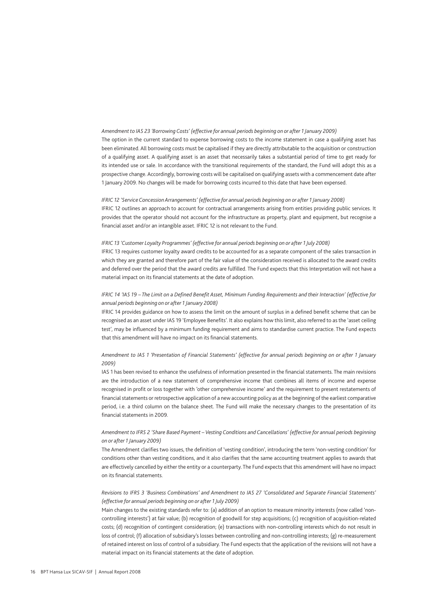#### *Amendment to IAS 23 'Borrowing Costs' (effective for annual periods beginning on or after 1 January 2009)*

The option in the current standard to expense borrowing costs to the income statement in case a qualifying asset has been eliminated. All borrowing costs must be capitalised if they are directly attributable to the acquisition or construction of a qualifying asset. A qualifying asset is an asset that necessarily takes a substantial period of time to get ready for its intended use or sale. In accordance with the transitional requirements of the standard, the Fund will adopt this as a prospective change. Accordingly, borrowing costs will be capitalised on qualifying assets with a commencement date after 1 January 2009. No changes will be made for borrowing costs incurred to this date that have been expensed.

#### *IFRIC 12 'Service Concession Arrangements' (effective for annual periods beginning on or after 1 January 2008)*

IFRIC 12 outlines an approach to account for contractual arrangements arising from entities providing public services. It provides that the operator should not account for the infrastructure as property, plant and equipment, but recognise a financial asset and/or an intangible asset. IFRIC 12 is not relevant to the Fund.

#### *IFRIC 13 'Customer Loyalty Programmes' (effective for annual periods beginning on or after 1 July 2008)*

IFRIC 13 requires customer loyalty award credits to be accounted for as a separate component of the sales transaction in which they are granted and therefore part of the fair value of the consideration received is allocated to the award credits and deferred over the period that the award credits are fulfilled. The Fund expects that this Interpretation will not have a material impact on its financial statements at the date of adoption.

### *IFRIC 14 'IAS 19 – The Limit on a Defined Benefit Asset, Minimum Funding Requirements and their Interaction' (effective for annual periods beginning on or after 1 January 2008)*

IFRIC 14 provides guidance on how to assess the limit on the amount of surplus in a defined benefit scheme that can be recognised as an asset under IAS 19 'Employee Benefits'. It also explains how this limit, also referred to as the 'asset ceiling test', may be influenced by a minimum funding requirement and aims to standardise current practice. The Fund expects that this amendment will have no impact on its financial statements.

#### *Amendment to IAS 1 'Presentation of Financial Statements' (effective for annual periods beginning on or after 1 January 2009)*

IAS 1 has been revised to enhance the usefulness of information presented in the financial statements. The main revisions are the introduction of a new statement of comprehensive income that combines all items of income and expense recognised in profit or loss together with 'other comprehensive income' and the requirement to present restatements of financial statements or retrospective application of a new accounting policy as at the beginning of the earliest comparative period, i.e. a third column on the balance sheet. The Fund will make the necessary changes to the presentation of its financial statements in 2009.

#### *Amendment to IFRS 2 'Share Based Payment – Vesting Conditions and Cancellations' (effective for annual periods beginning on or after 1 January 2009)*

The Amendment clarifies two issues, the definition of 'vesting condition', introducing the term 'non-vesting condition' for conditions other than vesting conditions, and it also clarifies that the same accounting treatment applies to awards that are effectively cancelled by either the entity or a counterparty. The Fund expects that this amendment will have no impact on its financial statements.

#### *Revisions to IFRS 3 'Business Combinations' and Amendment to IAS 27 'Consolidated and Separate Financial Statements' (effective for annual periods beginning on or after 1 July 2009)*

Main changes to the existing standards refer to: (a) addition of an option to measure minority interests (now called 'noncontrolling interests') at fair value; (b) recognition of goodwill for step acquisitions; (c) recognition of acquisition-related costs; (d) recognition of contingent consideration; (e) transactions with non-controlling interests which do not result in loss of control; (f) allocation of subsidiary's losses between controlling and non-controlling interests; (g) re-measurement of retained interest on loss of control of a subsidiary. The Fund expects that the application of the revisions will not have a material impact on its financial statements at the date of adoption.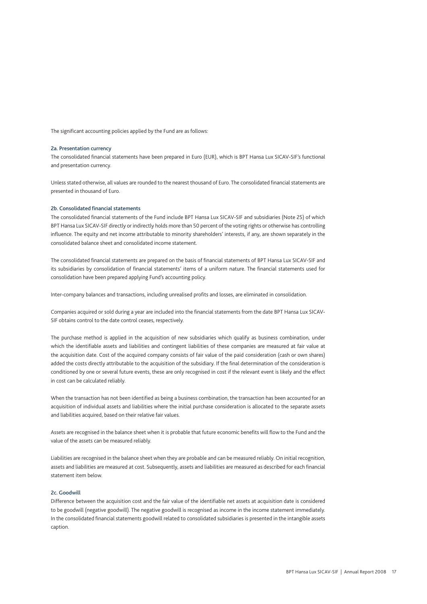The significant accounting policies applied by the Fund are as follows:

#### 2a. Presentation currency

The consolidated financial statements have been prepared in Euro (EUR), which is BPT Hansa Lux SICAV-SIF's functional and presentation currency.

Unless stated otherwise, all values are rounded to the nearest thousand of Euro. The consolidated financial statements are presented in thousand of Euro.

#### 2b. Consolidated financial statements

The consolidated financial statements of the Fund include BPT Hansa Lux SICAV-SIF and subsidiaries (Note 25) of which BPT Hansa Lux SICAV-SIF directly or indirectly holds more than 50 percent of the voting rights or otherwise has controlling influence. The equity and net income attributable to minority shareholders' interests, if any, are shown separately in the consolidated balance sheet and consolidated income statement.

The consolidated financial statements are prepared on the basis of financial statements of BPT Hansa Lux SICAV-SIF and its subsidiaries by consolidation of financial statements' items of a uniform nature. The financial statements used for consolidation have been prepared applying Fund's accounting policy.

Inter-company balances and transactions, including unrealised profits and losses, are eliminated in consolidation.

Companies acquired or sold during a year are included into the financial statements from the date BPT Hansa Lux SICAV-SIF obtains control to the date control ceases, respectively.

The purchase method is applied in the acquisition of new subsidiaries which qualify as business combination, under which the identifiable assets and liabilities and contingent liabilities of these companies are measured at fair value at the acquisition date. Cost of the acquired company consists of fair value of the paid consideration (cash or own shares) added the costs directly attributable to the acquisition of the subsidiary. If the final determination of the consideration is conditioned by one or several future events, these are only recognised in cost if the relevant event is likely and the effect in cost can be calculated reliably.

When the transaction has not been identified as being a business combination, the transaction has been accounted for an acquisition of individual assets and liabilities where the initial purchase consideration is allocated to the separate assets and liabilities acquired, based on their relative fair values.

Assets are recognised in the balance sheet when it is probable that future economic benefits will flow to the Fund and the value of the assets can be measured reliably.

Liabilities are recognised in the balance sheet when they are probable and can be measured reliably. On initial recognition, assets and liabilities are measured at cost. Subsequently, assets and liabilities are measured as described for each financial statement item below.

#### 2c. Goodwill

Difference between the acquisition cost and the fair value of the identifiable net assets at acquisition date is considered to be goodwill (negative goodwill). The negative goodwill is recognised as income in the income statement immediately. In the consolidated financial statements goodwill related to consolidated subsidiaries is presented in the intangible assets caption.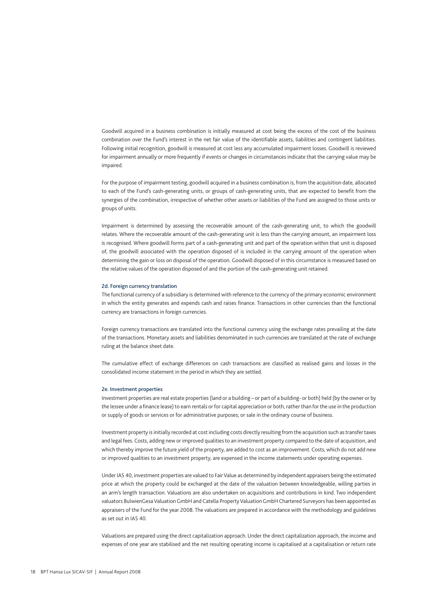Goodwill acquired in a business combination is initially measured at cost being the excess of the cost of the business combination over the Fund's interest in the net fair value of the identifiable assets, liabilities and contingent liabilities. Following initial recognition, goodwill is measured at cost less any accumulated impairment losses. Goodwill is reviewed for impairment annually or more frequently if events or changes in circumstances indicate that the carrying value may be impaired.

For the purpose of impairment testing, goodwill acquired in a business combination is, from the acquisition date, allocated to each of the Fund's cash-generating units, or groups of cash-generating units, that are expected to benefit from the synergies of the combination, irrespective of whether other assets or liabilities of the Fund are assigned to those units or groups of units.

Impairment is determined by assessing the recoverable amount of the cash-generating unit, to which the goodwill relates. Where the recoverable amount of the cash-generating unit is less than the carrying amount, an impairment loss is recognised. Where goodwill forms part of a cash-generating unit and part of the operation within that unit is disposed of, the goodwill associated with the operation disposed of is included in the carrying amount of the operation when determining the gain or loss on disposal of the operation. Goodwill disposed of in this circumstance is measured based on the relative values of the operation disposed of and the portion of the cash-generating unit retained.

#### 2d. Foreign currency translation

The functional currency of a subsidiary is determined with reference to the currency of the primary economic environment in which the entity generates and expends cash and raises finance. Transactions in other currencies than the functional currency are transactions in foreign currencies.

Foreign currency transactions are translated into the functional currency using the exchange rates prevailing at the date of the transactions. Monetary assets and liabilities denominated in such currencies are translated at the rate of exchange ruling at the balance sheet date.

The cumulative effect of exchange differences on cash transactions are classified as realised gains and losses in the consolidated income statement in the period in which they are settled.

#### 2e. Investment properties

Investment properties are real estate properties (land or a building – or part of a building- or both) held (by the owner or by the lessee under a finance lease) to earn rentals or for capital appreciation or both, rather than for the use in the production or supply of goods or services or for administrative purposes; or sale in the ordinary course of business.

Investment property is initially recorded at cost including costs directly resulting from the acquisition such as transfer taxes and legal fees. Costs, adding new or improved qualities to an investment property compared to the date of acquisition, and which thereby improve the future yield of the property, are added to cost as an improvement. Costs, which do not add new or improved qualities to an investment property, are expensed in the income statements under operating expenses.

Under IAS 40, investment properties are valued to Fair Value as determined by independent appraisers being the estimated price at which the property could be exchanged at the date of the valuation between knowledgeable, willing parties in an arm's length transaction. Valuations are also undertaken on acquisitions and contributions in kind. Two independent valuators BulwienGesa Valuation GmbH and Catella Property Valuation GmbH Chartered Surveyors has been appointed as appraisers of the Fund for the year 2008. The valuations are prepared in accordance with the methodology and guidelines as set out in IAS 40.

Valuations are prepared using the direct capitalization approach. Under the direct capitalization approach, the income and expenses of one year are stabilised and the net resulting operating income is capitalised at a capitalisation or return rate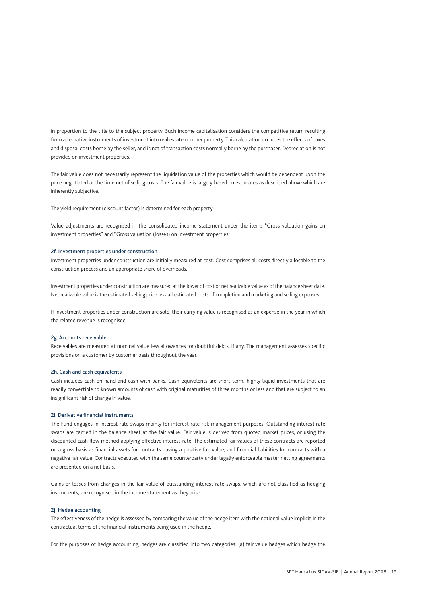in proportion to the title to the subject property. Such income capitalisation considers the competitive return resulting from alternative instruments of investment into real estate or other property. This calculation excludes the effects of taxes and disposal costs borne by the seller, and is net of transaction costs normally borne by the purchaser. Depreciation is not provided on investment properties.

The fair value does not necessarily represent the liquidation value of the properties which would be dependent upon the price negotiated at the time net of selling costs. The fair value is largely based on estimates as described above which are inherently subjective.

The yield requirement (discount factor) is determined for each property.

Value adjustments are recognised in the consolidated income statement under the items "Gross valuation gains on investment properties" and "Gross valuation (losses) on investment properties".

#### 2f. Investment properties under construction

Investment properties under construction are initially measured at cost. Cost comprises all costs directly allocable to the construction process and an appropriate share of overheads.

Investment properties under construction are measured at the lower of cost or net realizable value as of the balance sheet date. Net realizable value is the estimated selling price less all estimated costs of completion and marketing and selling expenses.

If investment properties under construction are sold, their carrying value is recognised as an expense in the year in which the related revenue is recognised.

#### 2g. Accounts receivable

Receivables are measured at nominal value less allowances for doubtful debts, if any. The management assesses specific provisions on a customer by customer basis throughout the year.

#### 2h. Cash and cash equivalents

Cash includes cash on hand and cash with banks. Cash equivalents are short-term, highly liquid investments that are readily convertible to known amounts of cash with original maturities of three months or less and that are subject to an insignificant risk of change in value.

#### 2i. Derivative financial instruments

The Fund engages in interest rate swaps mainly for interest rate risk management purposes. Outstanding interest rate swaps are carried in the balance sheet at the fair value. Fair value is derived from quoted market prices, or using the discounted cash flow method applying effective interest rate. The estimated fair values of these contracts are reported on a gross basis as financial assets for contracts having a positive fair value; and financial liabilities for contracts with a negative fair value. Contracts executed with the same counterparty under legally enforceable master netting agreements are presented on a net basis.

Gains or losses from changes in the fair value of outstanding interest rate swaps, which are not classified as hedging instruments, are recognised in the income statement as they arise.

#### 2j. Hedge accounting

The effectiveness of the hedge is assessed by comparing the value of the hedge item with the notional value implicit in the contractual terms of the financial instruments being used in the hedge.

For the purposes of hedge accounting, hedges are classified into two categories: (a) fair value hedges which hedge the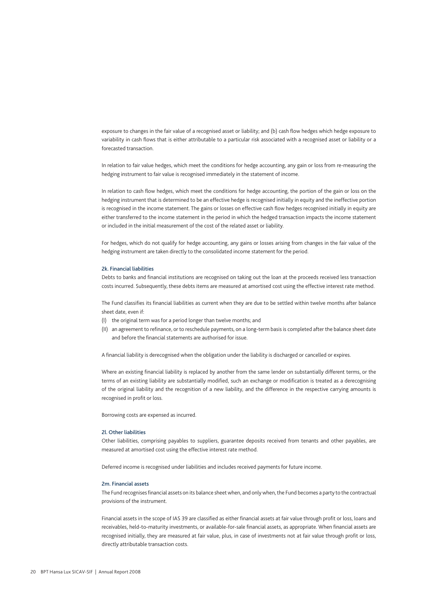exposure to changes in the fair value of a recognised asset or liability; and (b) cash flow hedges which hedge exposure to variability in cash flows that is either attributable to a particular risk associated with a recognised asset or liability or a forecasted transaction.

In relation to fair value hedges, which meet the conditions for hedge accounting, any gain or loss from re-measuring the hedging instrument to fair value is recognised immediately in the statement of income.

In relation to cash flow hedges, which meet the conditions for hedge accounting, the portion of the gain or loss on the hedging instrument that is determined to be an effective hedge is recognised initially in equity and the ineffective portion is recognised in the income statement. The gains or losses on effective cash flow hedges recognised initially in equity are either transferred to the income statement in the period in which the hedged transaction impacts the income statement or included in the initial measurement of the cost of the related asset or liability.

For hedges, which do not qualify for hedge accounting, any gains or losses arising from changes in the fair value of the hedging instrument are taken directly to the consolidated income statement for the period.

#### 2k. Financial liabilities

Debts to banks and financial institutions are recognised on taking out the loan at the proceeds received less transaction costs incurred. Subsequently, these debts items are measured at amortised cost using the effective interest rate method.

The Fund classifies its financial liabilities as current when they are due to be settled within twelve months after balance sheet date, even if:

- (I) the original term was for a period longer than twelve months; and
- (II) an agreement to refinance, or to reschedule payments, on a long-term basis is completed after the balance sheet date and before the financial statements are authorised for issue.

A financial liability is derecognised when the obligation under the liability is discharged or cancelled or expires.

Where an existing financial liability is replaced by another from the same lender on substantially different terms, or the terms of an existing liability are substantially modified, such an exchange or modification is treated as a derecognising of the original liability and the recognition of a new liability, and the difference in the respective carrying amounts is recognised in profit or loss.

Borrowing costs are expensed as incurred.

#### 2l. Other liabilities

Other liabilities, comprising payables to suppliers, guarantee deposits received from tenants and other payables, are measured at amortised cost using the effective interest rate method.

Deferred income is recognised under liabilities and includes received payments for future income.

#### 2m. Financial assets

The Fund recognises financial assets on its balance sheet when, and only when, the Fund becomes a party to the contractual provisions of the instrument.

Financial assets in the scope of IAS 39 are classified as either financial assets at fair value through profit or loss, loans and receivables, held-to-maturity investments, or available-for-sale financial assets, as appropriate. When financial assets are recognised initially, they are measured at fair value, plus, in case of investments not at fair value through profit or loss, directly attributable transaction costs.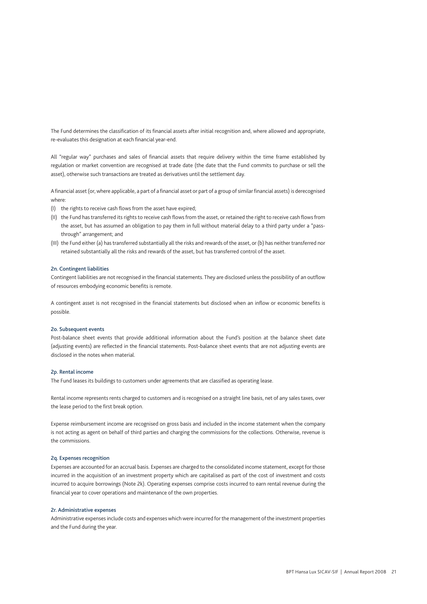The Fund determines the classification of its financial assets after initial recognition and, where allowed and appropriate, re-evaluates this designation at each financial year-end.

All "regular way" purchases and sales of financial assets that require delivery within the time frame established by regulation or market convention are recognised at trade date (the date that the Fund commits to purchase or sell the asset), otherwise such transactions are treated as derivatives until the settlement day.

A financial asset (or, where applicable, a part of a financial asset or part of a group of similar financial assets) is derecognised where:

- (I) the rights to receive cash flows from the asset have expired;
- (II) the Fund has transferred its rights to receive cash flows from the asset, or retained the right to receive cash flows from the asset, but has assumed an obligation to pay them in full without material delay to a third party under a "passthrough" arrangement; and
- (III) the Fund either (a) has transferred substantially all the risks and rewards of the asset, or (b) has neither transferred nor retained substantially all the risks and rewards of the asset, but has transferred control of the asset.

#### 2n. Contingent liabilities

Contingent liabilities are not recognised in the financial statements. They are disclosed unless the possibility of an outflow of resources embodying economic benefits is remote.

A contingent asset is not recognised in the financial statements but disclosed when an inflow or economic benefits is possible.

#### 2o. Subsequent events

Post-balance sheet events that provide additional information about the Fund's position at the balance sheet date (adjusting events) are reflected in the financial statements. Post-balance sheet events that are not adjusting events are disclosed in the notes when material.

#### 2p. Rental income

The Fund leases its buildings to customers under agreements that are classified as operating lease.

Rental income represents rents charged to customers and is recognised on a straight line basis, net of any sales taxes, over the lease period to the first break option.

Expense reimbursement income are recognised on gross basis and included in the income statement when the company is not acting as agent on behalf of third parties and charging the commissions for the collections. Otherwise, revenue is the commissions.

#### 2q. Expenses recognition

Expenses are accounted for an accrual basis. Expenses are charged to the consolidated income statement, except for those incurred in the acquisition of an investment property which are capitalised as part of the cost of investment and costs incurred to acquire borrowings (Note 2k). Operating expenses comprise costs incurred to earn rental revenue during the financial year to cover operations and maintenance of the own properties.

#### 2r. Administrative expenses

Administrative expenses include costs and expenses which were incurred for the management of the investment properties and the Fund during the year.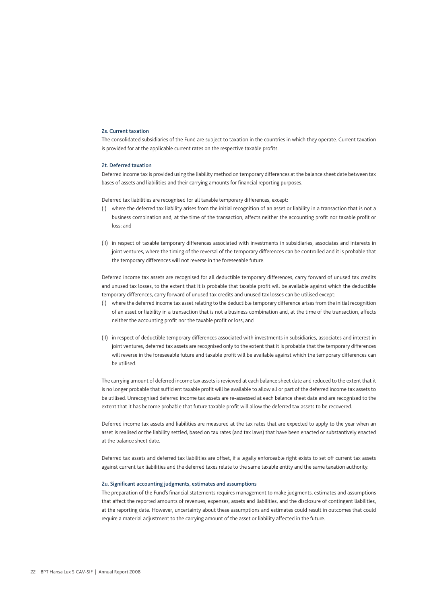#### 2s. Current taxation

The consolidated subsidiaries of the Fund are subject to taxation in the countries in which they operate. Current taxation is provided for at the applicable current rates on the respective taxable profits.

#### 2t. Deferred taxation

Deferred income tax is provided using the liability method on temporary differences at the balance sheet date between tax bases of assets and liabilities and their carrying amounts for financial reporting purposes.

Deferred tax liabilities are recognised for all taxable temporary differences, except:

- where the deferred tax liability arises from the initial recognition of an asset or liability in a transaction that is not a business combination and, at the time of the transaction, affects neither the accounting profit nor taxable profit or loss; and
- (II) in respect of taxable temporary differences associated with investments in subsidiaries, associates and interests in joint ventures, where the timing of the reversal of the temporary differences can be controlled and it is probable that the temporary differences will not reverse in the foreseeable future.

Deferred income tax assets are recognised for all deductible temporary differences, carry forward of unused tax credits and unused tax losses, to the extent that it is probable that taxable profit will be available against which the deductible temporary differences, carry forward of unused tax credits and unused tax losses can be utilised except:

- (I) where the deferred income tax asset relating to the deductible temporary difference arises from the initial recognition of an asset or liability in a transaction that is not a business combination and, at the time of the transaction, affects neither the accounting profit nor the taxable profit or loss; and
- (II) in respect of deductible temporary differences associated with investments in subsidiaries, associates and interest in joint ventures, deferred tax assets are recognised only to the extent that it is probable that the temporary differences will reverse in the foreseeable future and taxable profit will be available against which the temporary differences can be utilised.

The carrying amount of deferred income tax assets is reviewed at each balance sheet date and reduced to the extent that it is no longer probable that sufficient taxable profit will be available to allow all or part of the deferred income tax assets to be utilised. Unrecognised deferred income tax assets are re-assessed at each balance sheet date and are recognised to the extent that it has become probable that future taxable profit will allow the deferred tax assets to be recovered.

Deferred income tax assets and liabilities are measured at the tax rates that are expected to apply to the year when an asset is realised or the liability settled, based on tax rates (and tax laws) that have been enacted or substantively enacted at the balance sheet date.

Deferred tax assets and deferred tax liabilities are offset, if a legally enforceable right exists to set off current tax assets against current tax liabilities and the deferred taxes relate to the same taxable entity and the same taxation authority.

#### 2u. Significant accounting judgments, estimates and assumptions

The preparation of the Fund's financial statements requires management to make judgments, estimates and assumptions that affect the reported amounts of revenues, expenses, assets and liabilities, and the disclosure of contingent liabilities, at the reporting date. However, uncertainty about these assumptions and estimates could result in outcomes that could require a material adjustment to the carrying amount of the asset or liability affected in the future.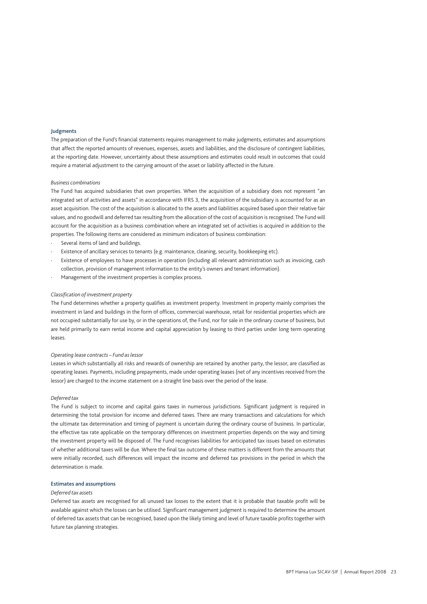#### Judgments

The preparation of the Fund's financial statements requires management to make judgments, estimates and assumptions that affect the reported amounts of revenues, expenses, assets and liabilities, and the disclosure of contingent liabilities, at the reporting date. However, uncertainty about these assumptions and estimates could result in outcomes that could require a material adjustment to the carrying amount of the asset or liability affected in the future.

#### *Business combinations*

The Fund has acquired subsidiaries that own properties. When the acquisition of a subsidiary does not represent "an integrated set of activities and assets" in accordance with IFRS 3, the acquisition of the subsidiary is accounted for as an asset acquisition. The cost of the acquisition is allocated to the assets and liabilities acquired based upon their relative fair values, and no goodwill and deferred tax resulting from the allocation of the cost of acquisition is recognised. The Fund will account for the acquisition as a business combination where an integrated set of activities is acquired in addition to the properties. The following items are considered as minimum indicators of business combination:

- Several items of land and buildings.
- Existence of ancillary services to tenants (e.g. maintenance, cleaning, security, bookkeeping etc).
- Existence of employees to have processes in operation (including all relevant administration such as invoicing, cash collection, provision of management information to the entity's owners and tenant information).
- Management of the investment properties is complex process.

#### *Classification of investment property*

The Fund determines whether a property qualifies as investment property. Investment in property mainly comprises the investment in land and buildings in the form of offices, commercial warehouse, retail for residential properties which are not occupied substantially for use by, or in the operations of, the Fund, nor for sale in the ordinary course of business, but are held primarily to earn rental income and capital appreciation by leasing to third parties under long term operating leases.

#### *Operating lease contracts – Fund as lessor*

Leases in which substantially all risks and rewards of ownership are retained by another party, the lessor, are classified as operating leases. Payments, including prepayments, made under operating leases (net of any incentives received from the lessor) are charged to the income statement on a straight line basis over the period of the lease.

#### *Deferred tax*

The Fund is subject to income and capital gains taxes in numerous jurisdictions. Significant judgment is required in determining the total provision for income and deferred taxes. There are many transactions and calculations for which the ultimate tax determination and timing of payment is uncertain during the ordinary course of business. In particular, the effective tax rate applicable on the temporary differences on investment properties depends on the way and timing the investment property will be disposed of. The Fund recognises liabilities for anticipated tax issues based on estimates of whether additional taxes will be due. Where the final tax outcome of these matters is different from the amounts that were initially recorded, such differences will impact the income and deferred tax provisions in the period in which the determination is made.

#### Estimates and assumptions

#### *Deferred tax assets*

Deferred tax assets are recognised for all unused tax losses to the extent that it is probable that taxable profit will be available against which the losses can be utilised. Significant management judgment is required to determine the amount of deferred tax assets that can be recognised, based upon the likely timing and level of future taxable profits together with future tax planning strategies.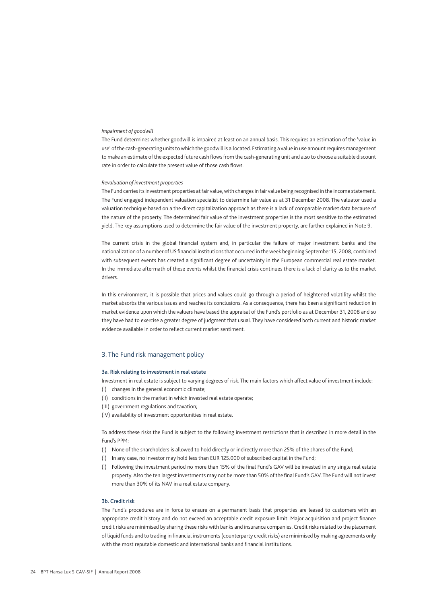#### *Impairment of goodwill*

The Fund determines whether goodwill is impaired at least on an annual basis. This requires an estimation of the 'value in use' of the cash-generating units to which the goodwill is allocated. Estimating a value in use amount requires management to make an estimate of the expected future cash flows from the cash-generating unit and also to choose a suitable discount rate in order to calculate the present value of those cash flows.

#### *Revaluation of investment properties*

The Fund carries its investment properties at fair value, with changes in fair value being recognised in the income statement. The Fund engaged independent valuation specialist to determine fair value as at 31 December 2008. The valuator used a valuation technique based on a the direct capitalization approach as there is a lack of comparable market data because of the nature of the property. The determined fair value of the investment properties is the most sensitive to the estimated yield. The key assumptions used to determine the fair value of the investment property, are further explained in Note 9.

The current crisis in the global financial system and, in particular the failure of major investment banks and the nationalization of a number of US financial institutions that occurred in the week beginning September 15, 2008, combined with subsequent events has created a significant degree of uncertainty in the European commercial real estate market. In the immediate aftermath of these events whilst the financial crisis continues there is a lack of clarity as to the market drivers

In this environment, it is possible that prices and values could go through a period of heightened volatility whilst the market absorbs the various issues and reaches its conclusions. As a consequence, there has been a significant reduction in market evidence upon which the valuers have based the appraisal of the Fund's portfolio as at December 31, 2008 and so they have had to exercise a greater degree of judgment that usual. They have considered both current and historic market evidence available in order to reflect current market sentiment.

#### 3. The Fund risk management policy

#### 3a. Risk relating to investment in real estate

Investment in real estate is subject to varying degrees of risk. The main factors which affect value of investment include: (I) changes in the general economic climate;

- (II) conditions in the market in which invested real estate operate;
- (III) government regulations and taxation;
- 
- (IV) availability of investment opportunities in real estate.

To address these risks the Fund is subject to the following investment restrictions that is described in more detail in the Fund's PPM:

- (I) None of the shareholders is allowed to hold directly or indirectly more than 25% of the shares of the Fund;
- (I) In any case, no investor may hold less than EUR 125.000 of subscribed capital in the Fund;
- (I) Following the investment period no more than 15% of the final Fund's GAV will be invested in any single real estate property. Also the ten largest investments may not be more than 50% of the final Fund's GAV. The Fund will not invest more than 30% of its NAV in a real estate company.

#### 3b. Credit risk

The Fund's procedures are in force to ensure on a permanent basis that properties are leased to customers with an appropriate credit history and do not exceed an acceptable credit exposure limit. Major acquisition and project finance credit risks are minimised by sharing these risks with banks and insurance companies. Credit risks related to the placement of liquid funds and to trading in financial instruments (counterparty credit risks) are minimised by making agreements only with the most reputable domestic and international banks and financial institutions.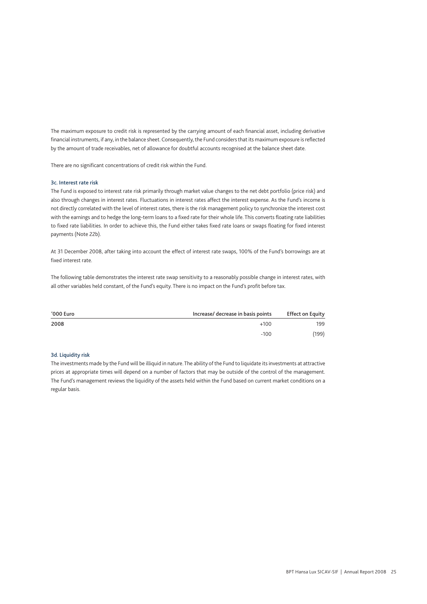The maximum exposure to credit risk is represented by the carrying amount of each financial asset, including derivative financial instruments, if any, in the balance sheet. Consequently, the Fund considers that its maximum exposure is reflected by the amount of trade receivables, net of allowance for doubtful accounts recognised at the balance sheet date.

There are no significant concentrations of credit risk within the Fund.

#### 3c. Interest rate risk

The Fund is exposed to interest rate risk primarily through market value changes to the net debt portfolio (price risk) and also through changes in interest rates. Fluctuations in interest rates affect the interest expense. As the Fund's income is not directly correlated with the level of interest rates, there is the risk management policy to synchronize the interest cost with the earnings and to hedge the long-term loans to a fixed rate for their whole life. This converts floating rate liabilities to fixed rate liabilities. In order to achieve this, the Fund either takes fixed rate loans or swaps floating for fixed interest payments (Note 22b).

At 31 December 2008, after taking into account the effect of interest rate swaps, 100% of the Fund's borrowings are at fixed interest rate.

The following table demonstrates the interest rate swap sensitivity to a reasonably possible change in interest rates, with all other variables held constant, of the Fund's equity. There is no impact on the Fund's profit before tax.

| '000 Euro | Increase/ decrease in basis points | <b>Effect on Equity</b> |
|-----------|------------------------------------|-------------------------|
| 2008      | $+100$                             | 199                     |
|           | $-100$                             | (199)                   |

#### 3d. Liquidity risk

The investments made by the Fund will be illiquid in nature. The ability of the Fund to liquidate its investments at attractive prices at appropriate times will depend on a number of factors that may be outside of the control of the management. The Fund's management reviews the liquidity of the assets held within the Fund based on current market conditions on a regular basis.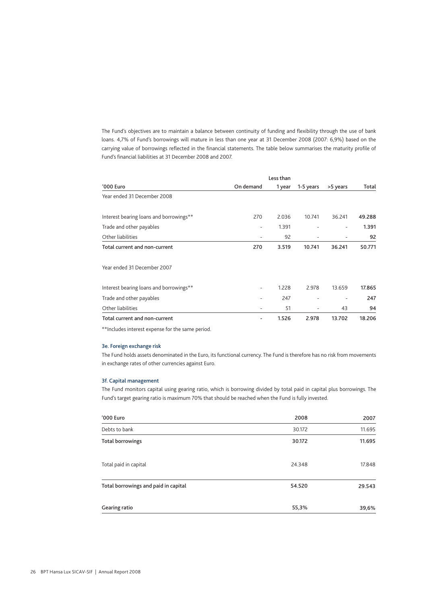The Fund's objectives are to maintain a balance between continuity of funding and flexibility through the use of bank loans. 4,7% of Fund's borrowings will mature in less than one year at 31 December 2008 (2007: 6,9%) based on the carrying value of borrowings reflected in the financial statements. The table below summarises the maturity profile of Fund's financial liabilities at 31 December 2008 and 2007.

| '000 Euro                                        | On demand                | 1 year | 1-5 years | >5 years | Total  |
|--------------------------------------------------|--------------------------|--------|-----------|----------|--------|
| Year ended 31 December 2008                      |                          |        |           |          |        |
| Interest bearing loans and borrowings**          | 270                      | 2.036  | 10.741    | 36.241   | 49.288 |
| Trade and other payables                         | $\overline{\phantom{a}}$ | 1.391  |           | ٠        | 1.391  |
| Other liabilities                                | -                        | 92     |           |          | 92     |
| Total current and non-current                    | 270                      | 3.519  | 10.741    | 36.241   | 50.771 |
| Year ended 31 December 2007                      |                          |        |           |          |        |
| Interest bearing loans and borrowings**          | ٠                        | 1.228  | 2.978     | 13.659   | 17.865 |
| Trade and other payables                         | -                        | 247    | ٠         |          | 247    |
| Other liabilities                                | -                        | 51     |           | 43       | 94     |
| Total current and non-current                    | -                        | 1.526  | 2.978     | 13.702   | 18.206 |
| **Includes interest expense for the same period. |                          |        |           |          |        |

3e. Foreign exchange risk

The Fund holds assets denominated in the Euro, its functional currency. The Fund is therefore has no risk from movements in exchange rates of other currencies against Euro.

#### 3f. Capital management

The Fund monitors capital using gearing ratio, which is borrowing divided by total paid in capital plus borrowings. The Fund's target gearing ratio is maximum 70% that should be reached when the Fund is fully invested.

| '000 Euro                            | 2008   | 2007   |
|--------------------------------------|--------|--------|
| Debts to bank                        | 30.172 | 11.695 |
| <b>Total borrowings</b>              | 30.172 | 11.695 |
| Total paid in capital                | 24.348 | 17.848 |
| Total borrowings and paid in capital | 54.520 | 29.543 |
| Gearing ratio                        | 55,3%  | 39,6%  |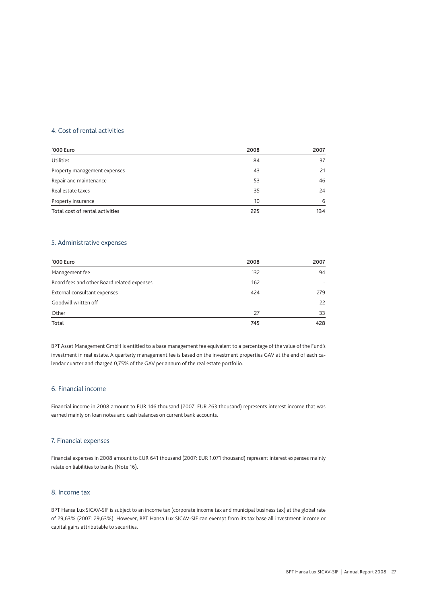## 4. Cost of rental activities

| '000 Euro                       | 2008 | 2007 |
|---------------------------------|------|------|
| Utilities                       | 84   | 37   |
| Property management expenses    | 43   | 21   |
| Repair and maintenance          | 53   | 46   |
| Real estate taxes               | 35   | 24   |
| Property insurance              | 10   | 6    |
| Total cost of rental activities | 225  | 134  |

## 5. Administrative expenses

| '000 Euro                                   | 2008 | 2007 |
|---------------------------------------------|------|------|
| Management fee                              | 132  | 94   |
| Board fees and other Board related expenses | 162  |      |
| External consultant expenses                | 424  | 279  |
| Goodwill written off                        | ۰    | 22   |
| Other                                       | 27   | 33   |
| Total                                       | 745  | 428  |

BPT Asset Management GmbH is entitled to a base management fee equivalent to a percentage of the value of the Fund's investment in real estate. A quarterly management fee is based on the investment properties GAV at the end of each calendar quarter and charged 0,75% of the GAV per annum of the real estate portfolio.

## 6. Financial income

Financial income in 2008 amount to EUR 146 thousand (2007: EUR 263 thousand) represents interest income that was earned mainly on loan notes and cash balances on current bank accounts.

### 7. Financial expenses

Financial expenses in 2008 amount to EUR 641 thousand (2007: EUR 1.071 thousand) represent interest expenses mainly relate on liabilities to banks (Note 16).

## 8. Income tax

BPT Hansa Lux SICAV-SIF is subject to an income tax (corporate income tax and municipal business tax) at the global rate of 29,63% (2007: 29,63%). However, BPT Hansa Lux SICAV-SIF can exempt from its tax base all investment income or capital gains attributable to securities.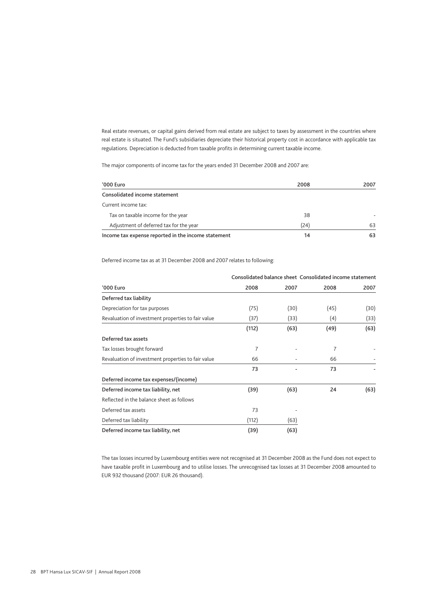Real estate revenues, or capital gains derived from real estate are subject to taxes by assessment in the countries where real estate is situated. The Fund's subsidiaries depreciate their historical property cost in accordance with applicable tax regulations. Depreciation is deducted from taxable profits in determining current taxable income.

The major components of income tax for the years ended 31 December 2008 and 2007 are:

| '000 Euro                                           | 2008 | 2007 |
|-----------------------------------------------------|------|------|
| Consolidated income statement                       |      |      |
| Current income tax:                                 |      |      |
| Tax on taxable income for the year                  | 38   |      |
| Adjustment of deferred tax for the year             | (24) | 63   |
| Income tax expense reported in the income statement | 14   | 63   |

Deferred income tax as at 31 December 2008 and 2007 relates to following:

|                                                    | Consolidated balance sheet Consolidated income statement |      |      |      |
|----------------------------------------------------|----------------------------------------------------------|------|------|------|
| '000 Euro                                          | 2008                                                     | 2007 | 2008 | 2007 |
| Deferred tax liability                             |                                                          |      |      |      |
| Depreciation for tax purposes                      | (75)                                                     | (30) | (45) | (30) |
| Revaluation of investment properties to fair value | (37)                                                     | (33) | (4)  | (33) |
|                                                    | (112)                                                    | (63) | (49) | (63) |
| Deferred tax assets                                |                                                          |      |      |      |
| Tax losses brought forward                         | 7                                                        |      | 7    |      |
| Revaluation of investment properties to fair value | 66                                                       |      | 66   |      |
|                                                    | 73                                                       |      | 73   |      |
| Deferred income tax expenses/(income)              |                                                          |      |      |      |
| Deferred income tax liability, net                 | (39)                                                     | (63) | 24   | (63) |
| Reflected in the balance sheet as follows          |                                                          |      |      |      |
| Deferred tax assets                                | 73                                                       |      |      |      |
| Deferred tax liability                             | (112)                                                    | (63) |      |      |
| Deferred income tax liability, net                 | (39)                                                     | (63) |      |      |

The tax losses incurred by Luxembourg entities were not recognised at 31 December 2008 as the Fund does not expect to have taxable profit in Luxembourg and to utilise losses. The unrecognised tax losses at 31 December 2008 amounted to EUR 932 thousand (2007: EUR 26 thousand).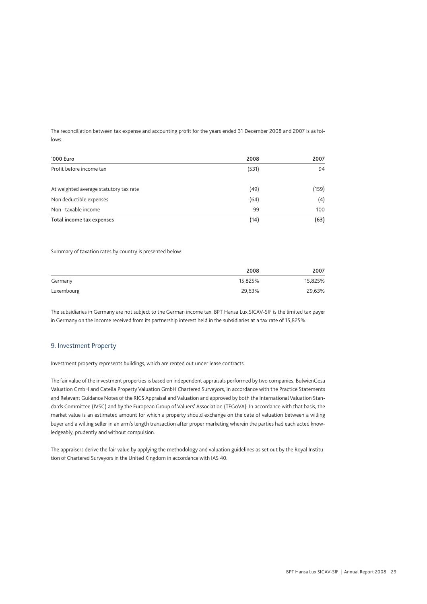The reconciliation between tax expense and accounting profit for the years ended 31 December 2008 and 2007 is as follows:

| '000 Euro                              | 2008  | 2007  |
|----------------------------------------|-------|-------|
| Profit before income tax               | (531) | 94    |
| At weighted average statutory tax rate | (49)  | (159) |
| Non deductible expenses                | (64)  | (4)   |
| Non-taxable income                     | 99    | 100   |
| Total income tax expenses              | (14)  | (63)  |

Summary of taxation rates by country is presented below:

|            | 2008    | 2007    |
|------------|---------|---------|
| Germany    | 15,825% | 15,825% |
| Luxembourg | 29,63%  | 29,63%  |

The subsidiaries in Germany are not subject to the German income tax. BPT Hansa Lux SICAV-SIF is the limited tax payer in Germany on the income received from its partnership interest held in the subsidiaries at a tax rate of 15,825%.

#### 9. Investment Property

Investment property represents buildings, which are rented out under lease contracts.

The fair value of the investment properties is based on independent appraisals performed by two companies, BulwienGesa Valuation GmbH and Catella Property Valuation GmbH Chartered Surveyors, in accordance with the Practice Statements and Relevant Guidance Notes of the RICS Appraisal and Valuation and approved by both the International Valuation Standards Committee (IVSC) and by the European Group of Valuers' Association (TEGoVA). In accordance with that basis, the market value is an estimated amount for which a property should exchange on the date of valuation between a willing buyer and a willing seller in an arm's length transaction after proper marketing wherein the parties had each acted knowledgeably, prudently and without compulsion.

The appraisers derive the fair value by applying the methodology and valuation guidelines as set out by the Royal Institution of Chartered Surveyors in the United Kingdom in accordance with IAS 40.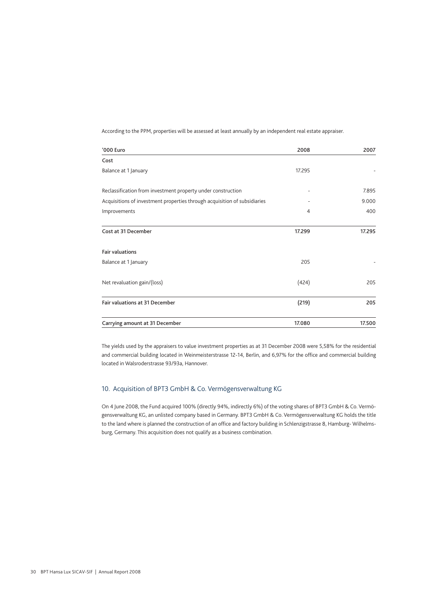According to the PPM, properties will be assessed at least annually by an independent real estate appraiser.

| '000 Euro                                                                 | 2008   | 2007   |
|---------------------------------------------------------------------------|--------|--------|
| Cost                                                                      |        |        |
| Balance at 1 January                                                      | 17.295 |        |
| Reclassification from investment property under construction              |        | 7.895  |
| Acquisitions of investment properties through acquisition of subsidiaries |        | 9.000  |
| Improvements                                                              | 4      | 400    |
| Cost at 31 December                                                       | 17.299 | 17.295 |
| <b>Fair valuations</b>                                                    |        |        |
| Balance at 1 January                                                      | 205    |        |
| Net revaluation gain/(loss)                                               | (424)  | 205    |
| Fair valuations at 31 December                                            | (219)  | 205    |
| Carrying amount at 31 December                                            | 17.080 | 17.500 |

The yields used by the appraisers to value investment properties as at 31 December 2008 were 5,58% for the residential and commercial building located in Weinmeisterstrasse 12-14, Berlin, and 6,97% for the office and commercial building located in Walsroderstrasse 93/93a, Hannover.

## 10. Acquisition of BPT3 GmbH & Co. Vermögensverwaltung KG

On 4 June 2008, the Fund acquired 100% (directly 94%, indirectly 6%) of the voting shares of BPT3 GmbH & Co. Vermögensverwaltung KG, an unlisted company based in Germany. BPT3 GmbH & Co. Vermögensverwaltung KG holds the title to the land where is planned the construction of an office and factory building in Schlenzigstrasse 8, Hamburg- Wilhelmsburg, Germany. This acquisition does not qualify as a business combination.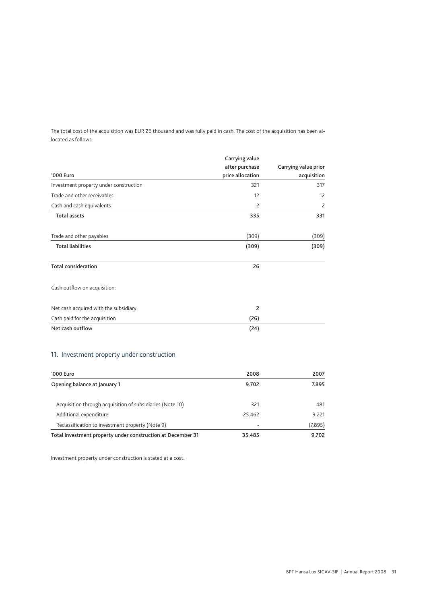The total cost of the acquisition was EUR 26 thousand and was fully paid in cash. The cost of the acquisition has been allocated as follows:

|                                        | Carrying value<br>after purchase | Carrying value prior |
|----------------------------------------|----------------------------------|----------------------|
| '000 Euro                              | price allocation                 | acquisition          |
| Investment property under construction | 321                              | 317                  |
| Trade and other receivables            | 12                               | 12                   |
| Cash and cash equivalents              | $\overline{c}$                   | $\overline{c}$       |
| <b>Total assets</b>                    | 335                              | 331                  |
| Trade and other payables               | (309)                            | (309)                |
| <b>Total liabilities</b>               | (309)                            | (309)                |
| <b>Total consideration</b>             | 26                               |                      |
| Cash outflow on acquisition:           |                                  |                      |
| Net cash acquired with the subsidiary  | $\overline{2}$                   |                      |
| Cash paid for the acquisition          | (26)                             |                      |
| Net cash outflow                       | (24)                             |                      |

## 11. Investment property under construction

| '000 Euro                                                   | 2008                     | 2007    |
|-------------------------------------------------------------|--------------------------|---------|
| Opening balance at January 1                                | 9.702                    | 7.895   |
| Acquisition through acquisition of subsidiaries (Note 10)   | 321                      | 481     |
| Additional expenditure                                      | 25.462                   | 9.221   |
| Reclassification to investment property (Note 9)            | $\overline{\phantom{0}}$ | (7.895) |
| Total investment property under construction at December 31 | 35.485                   | 9.702   |

Investment property under construction is stated at a cost.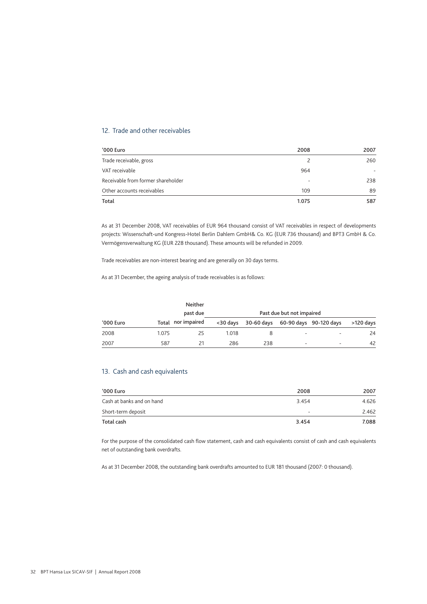## 12. Trade and other receivables

| '000 Euro                          | 2008  | 2007 |
|------------------------------------|-------|------|
| Trade receivable, gross            |       | 260  |
| VAT receivable                     | 964   |      |
| Receivable from former shareholder | ۰     | 238  |
| Other accounts receivables         | 109   | 89   |
| Total                              | 1.075 | 587  |

As at 31 December 2008, VAT receivables of EUR 964 thousand consist of VAT receivables in respect of developments projects: Wissenschaft-und Kongress-Hotel Berlin Dahlem GmbH& Co. KG (EUR 736 thousand) and BPT3 GmbH & Co. Vermögensverwaltung KG (EUR 228 thousand). These amounts will be refunded in 2009.

Trade receivables are non-interest bearing and are generally on 30 days terms.

As at 31 December, the ageing analysis of trade receivables is as follows:

|           |       | Neither<br>past due |       |     | Past due but not impaired |                                            |           |
|-----------|-------|---------------------|-------|-----|---------------------------|--------------------------------------------|-----------|
| '000 Euro |       | Total nor impaired  |       |     |                           | <30 days 30-60 days 60-90 days 90-120 days | >120 days |
| 2008      | 1.075 | 25                  | 1.018 |     | $\overline{\phantom{0}}$  |                                            | 24        |
| 2007      | 587   |                     | 286   | 238 | $\overline{\phantom{0}}$  |                                            | 42        |

## 13. Cash and cash equivalents

| '000 Euro                 | 2008                     | 2007  |
|---------------------------|--------------------------|-------|
| Cash at banks and on hand | 3454                     | 4.626 |
| Short-term deposit        | $\overline{\phantom{0}}$ | 2.462 |
| Total cash                | 3.454                    | 7.088 |

For the purpose of the consolidated cash flow statement, cash and cash equivalents consist of cash and cash equivalents net of outstanding bank overdrafts.

As at 31 December 2008, the outstanding bank overdrafts amounted to EUR 181 thousand (2007: 0 thousand).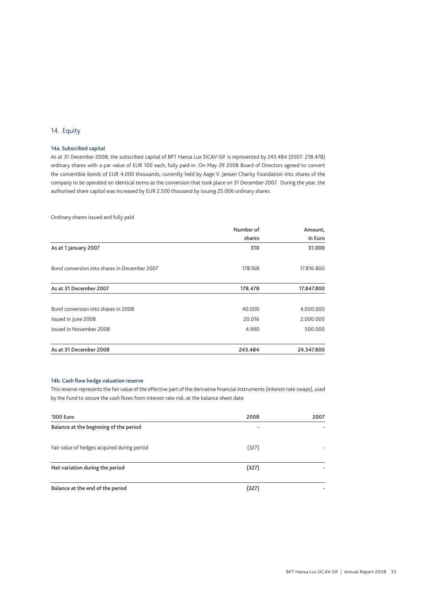## 14. Equity

### 14a. Subscribed capital

As at 31 December 2008, the subscribed capital of BPT Hansa Lux SICAV-SIF is represented by 243.484 (2007: 218.478) ordinary shares with a par value of EUR 100 each, fully paid-in. On May 29 2008 Board of Directors agreed to convert the convertible bonds of EUR 4.000 thousands, currently held by Aage V. Jensen Charity Foundation into shares of the company to be operated on identical terms as the conversion that took place on 31 December 2007. During the year, the authorised share capital was increased by EUR 2.500 thousand by issuing 25.006 ordinary shares.

Ordinary shares issued and fully paid

|                                              | Number of | Amount,    |
|----------------------------------------------|-----------|------------|
|                                              | shares    | in Euro    |
| As at 1 January 2007                         | 310       | 31.000     |
| Bond conversion into shares in December 2007 | 178.168   | 17.816.800 |
| As at 31 December 2007                       | 178.478   | 17.847.800 |
| Bond conversion into shares in 2008          | 40.000    | 4.000.000  |
| Issued in June 2008                          | 20.016    | 2.000.000  |
| Issued in November 2008                      | 4.990     | 500.000    |
| As at 31 December 2008                       | 243.484   | 24.347.800 |

#### 14b. Cash flow hedge valuation reserve

This reserve represents the fair value of the effective part of the derivative financial instruments (interest rate swaps), used by the Fund to secure the cash flows from interest rate risk, at the balance sheet date.

| '000 Euro                                   | 2008                     | 2007 |
|---------------------------------------------|--------------------------|------|
| Balance at the beginning of the period      | $\overline{\phantom{0}}$ |      |
| Fair value of hedges acquired during period | (327)                    |      |
| Net variation during the period             | (327)                    |      |
| Balance at the end of the period            | 327                      |      |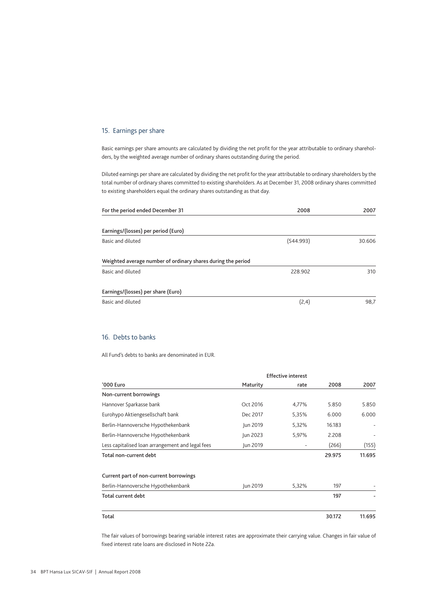## 15. Earnings per share

Basic earnings per share amounts are calculated by dividing the net profit for the year attributable to ordinary shareholders, by the weighted average number of ordinary shares outstanding during the period.

Diluted earnings per share are calculated by dividing the net profit for the year attributable to ordinary shareholders by the total number of ordinary shares committed to existing shareholders. As at December 31, 2008 ordinary shares committed to existing shareholders equal the ordinary shares outstanding as that day.

| For the period ended December 31                             | 2008      | 2007   |
|--------------------------------------------------------------|-----------|--------|
| Earnings/(losses) per period (Euro)                          |           |        |
| Basic and diluted                                            | (544.993) | 30.606 |
| Weighted average number of ordinary shares during the period |           |        |
| Basic and diluted                                            | 228.902   | 310    |
| Earnings/(losses) per share (Euro)                           |           |        |
| Basic and diluted                                            | (2,4)     | 98,7   |

## 16. Debts to banks

All Fund's debts to banks are denominated in EUR.

|                                                  |          | <b>Effective interest</b> |        |        |  |
|--------------------------------------------------|----------|---------------------------|--------|--------|--|
| '000 Euro                                        | Maturity | rate                      | 2008   | 2007   |  |
| Non-current borrowings                           |          |                           |        |        |  |
| Hannover Sparkasse bank                          | Oct 2016 | 4,77%                     | 5.850  | 5.850  |  |
| Eurohypo Aktiengesellschaft bank                 | Dec 2017 | 5,35%                     | 6.000  | 6.000  |  |
| Berlin-Hannoversche Hypothekenbank               | Jun 2019 | 5,32%                     | 16.183 |        |  |
| Berlin-Hannoversche Hypothekenbank               | Jun 2023 | 5,97%                     | 2.208  |        |  |
| Less capitalised loan arrangement and legal fees | Jun 2019 |                           | (266)  | (155)  |  |
| Total non-current debt                           |          |                           | 29.975 | 11.695 |  |
| Current part of non-current borrowings           |          |                           |        |        |  |
| Berlin-Hannoversche Hypothekenbank               | Jun 2019 | 5,32%                     | 197    |        |  |
| Total current debt                               |          |                           | 197    |        |  |
| Total                                            |          |                           | 30.172 | 11.695 |  |

The fair values of borrowings bearing variable interest rates are approximate their carrying value. Changes in fair value of fixed interest rate loans are disclosed in Note 22a.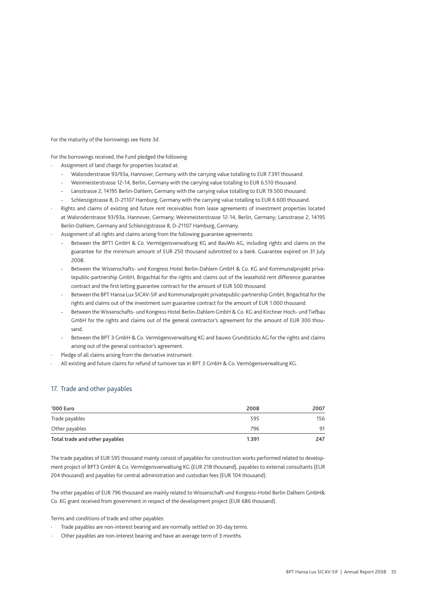For the maturity of the borrowings see Note 3d.

For the borrowings received, the Fund pledged the following:

Assignment of land charge for properties located at:

- Walsroderstrasse 93/93a, Hannover, Germany with the carrying value totalling to EUR 7.391 thousand.
- Weinmeisterstrasse 12-14, Berlin, Germany with the carrying value totalling to EUR 6.510 thousand.
- Lansstrasse 2, 14195 Berlin-Dahlem, Germany with the carrying value totalling to EUR 19.500 thousand.
- Schlenzigstrasse 8, D-21107 Hamburg, Germany with the carrying value totalling to EUR 6.600 thousand.
- · Rights and claims of existing and future rent receivables from lease agreements of investment properties located at Walsroderstrasse 93/93a, Hannover, Germany; Weinmeisterstrasse 12-14, Berlin, Germany; Lansstrasse 2, 14195 Berlin-Dahlem, Germany and Schlenzigstrasse 8, D-21107 Hamburg, Germany.
- Assignment of all rights and claims arising from the following guarantee agreements:
	- Between the BPT1 GmbH & Co. Vermögensverwaltung KG and BauWo AG, including rights and claims on the guarantee for the minimum amount of EUR 250 thousand submitted to a bank. Guarantee expired on 31 July 2008.
	- Between the Wissenschafts- und Kongress Hotel Berlin-Dahlem GmbH & Co. KG and Kommunalprojekt privatepublic-partnership GmbH, Brigachtal for the rights and claims out of the leasehold rent difference guarantee contract and the first letting guarantee contract for the amount of EUR 500 thousand.
	- Between the BPT Hansa Lux SICAV-SIF and Kommunalprojekt privatepublic-partnership GmbH, Brigachtal for the rights and claims out of the investment sum guarantee contract for the amount of EUR 1.000 thousand.
	- Between the Wissenschafts- und Kongress Hotel Berlin-Dahlem GmbH & Co. KG and Kirchner Hoch- und Tiefbau GmbH for the rights and claims out of the general contractor's agreement for the amount of EUR 300 thousand.
	- Between the BPT 3 GmbH & Co. Vermögensverwaltung KG and bauwo Grundstücks AG for the rights and claims arising out of the general contractor's agreement.
- Pledge of all claims arising from the derivative instrument.
- · All existing and future claims for refund of turnover tax in BPT 3 GmbH & Co. Vermögensverwaltung KG.

#### 17. Trade and other payables

| '000 Euro                      | 2008  | 2007 |
|--------------------------------|-------|------|
| Trade payables                 | 595   | 156  |
| Other payables                 | 796   | 91   |
| Total trade and other payables | 1.391 | 247  |

The trade payables of EUR 595 thousand mainly consist of payables for construction works performed related to development project of BPT3 GmbH & Co. Vermögensverwaltung KG (EUR 218 thousand), payables to external consultants (EUR 204 thousand) and payables for central administration and custodian fees (EUR 104 thousand).

The other payables of EUR 796 thousand are mainly related to Wissenschaft-und Kongress-Hotel Berlin Dalhem GmbH& Co. KG grant received from government in respect of the development project (EUR 686 thousand).

Terms and conditions of trade and other payables:

- Trade payables are non-interest bearing and are normally settled on 30-day terms.
- Other payables are non-interest bearing and have an average term of 3 months.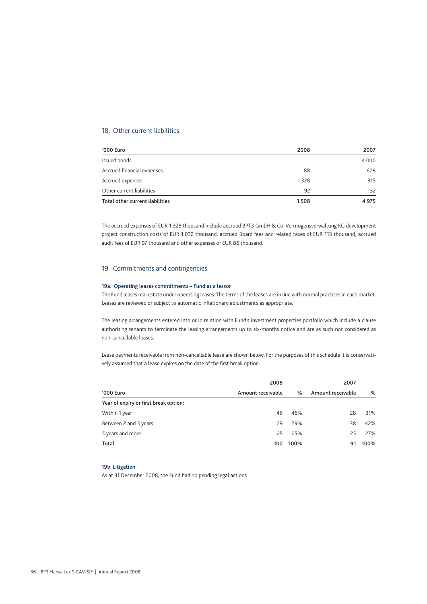## 18. Other current liabilities

| '000 Euro                       | 2008                     | 2007  |
|---------------------------------|--------------------------|-------|
| Issued bonds                    | $\overline{\phantom{a}}$ | 4.000 |
| Accrued financial expenses      | 88                       | 628   |
| Accrued expenses                | 1.328                    | 315   |
| Other current liabilities       | 92                       | 32    |
| Total other current liabilities | 1.508                    | 4.975 |

The accrued expenses of EUR 1.328 thousand include accrued BPT3 GmbH & Co. Vermögensverwaltung KG development project construction costs of EUR 1.032 thousand, accrued Board fees and related taxes of EUR 113 thousand, accrued audit fees of EUR 97 thousand and other expenses of EUR 86 thousand.

### 19. Commitments and contingencies

#### 19a. Operating leases commitments – Fund as a lessor

The Fund leases real estate under operating leases. The terms of the leases are in line with normal practises in each market. Leases are reviewed or subject to automatic inflationary adjustments as appropriate.

The leasing arrangements entered into or in relation with Fund's investment properties portfolio which include a clause authorising tenants to terminate the leasing arrangements up to six-months notice and are as such not considered as non-cancellable leases.

Lease payments receivable from non-cancellable lease are shown below. For the purposes of this schedule it is conservatively assumed that a lease expires on the date of the first break option.

|                                       | 2008              | 2007 |                   |      |  |
|---------------------------------------|-------------------|------|-------------------|------|--|
| '000 Euro                             | Amount receivable | $\%$ | Amount receivable | %    |  |
| Year of expiry or first break option: |                   |      |                   |      |  |
| Within 1 year                         | 46                | 46%  | 28                | 31%  |  |
| Between 2 and 5 years                 | 29                | 29%  | 38                | 42%  |  |
| 5 years and more                      | 25                | 25%  | 25                | 27%  |  |
| Total                                 | 100               | 100% | 91                | 100% |  |

#### 19b. Litigation

As at 31 December 2008, the Fund had no pending legal actions.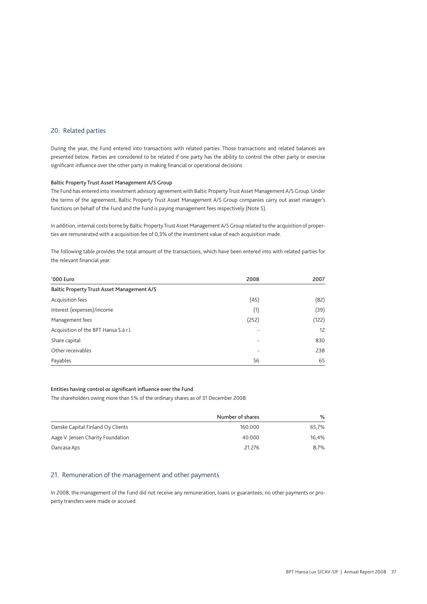### 20. Related parties

During the year, the Fund entered into transactions with related parties. Those transactions and related balances are presented below. Parties are considered to be related if one party has the ability to control the other party or exercise significant influence over the other party in making financial or operational decisions.

#### Baltic Property Trust Asset Management A/S Group

The Fund has entered into investment advisory agreement with Baltic Property Trust Asset Management A/S Group. Under the terms of the agreement, Baltic Property Trust Asset Management A/S Group companies carry out asset manager's functions on behalf of the Fund and the Fund is paying management fees respectively (Note 5).

In addition, internal costs borne by Baltic Property Trust Asset Management A/S Group related to the acquisition of properties are remunerated with a acquisition fee of 0,3% of the investment value of each acquisition made.

The following table provides the total amount of the transactions, which have been entered into with related parties for the relevant financial year:

| '000 Euro                                         | 2008                     | 2007  |  |  |  |  |
|---------------------------------------------------|--------------------------|-------|--|--|--|--|
| <b>Baltic Property Trust Asset Management A/S</b> |                          |       |  |  |  |  |
| Acquisition fees                                  | (45)                     | (82)  |  |  |  |  |
| Interest (expenses)/income                        | (1)                      | (39)  |  |  |  |  |
| Management fees                                   | (252)                    | (122) |  |  |  |  |
| Acquisition of the BPT Hansa S.à r.l.             |                          | 12    |  |  |  |  |
| Share capital                                     | $\overline{\phantom{a}}$ | 830   |  |  |  |  |
| Other receivables                                 |                          | 238   |  |  |  |  |
| Payables                                          | 56                       | 65    |  |  |  |  |

### Entities having control or significant influence over the Fund

The shareholders owing more than 5% of the ordinary shares as of 31 December 2008:

|                                   | Number of shares | ℅     |
|-----------------------------------|------------------|-------|
| Danske Capital Finland Oy Clients | 160.000          | 65.7% |
| Aage V. Jensen Charity Foundation | 40.000           | 16.4% |
| Dancasa Aps                       | 21.276           | 8.7%  |

### 21. Remuneration of the management and other payments

In 2008, the management of the Fund did not receive any remuneration, loans or guarantees; no other payments or property transfers were made or accrued.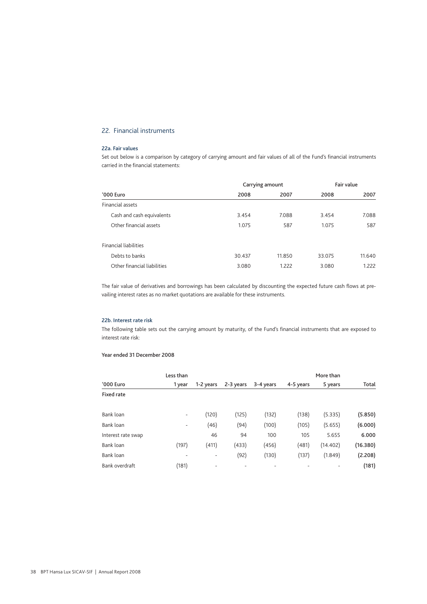## 22. Financial instruments

## 22a. Fair values

Set out below is a comparison by category of carrying amount and fair values of all of the Fund's financial instruments carried in the financial statements:

|                              | Carrying amount | Fair value |        |        |
|------------------------------|-----------------|------------|--------|--------|
| '000 Euro                    | 2008            | 2007       | 2008   | 2007   |
| Financial assets             |                 |            |        |        |
| Cash and cash equivalents    | 3.454           | 7.088      | 3.454  | 7.088  |
| Other financial assets       | 1.075           | 587        | 1.075  | 587    |
| <b>Financial liabilities</b> |                 |            |        |        |
| Debts to banks               | 30.437          | 11.850     | 33.075 | 11.640 |
| Other financial liabilities  | 3.080           | 1.222      | 3.080  | 1.222  |

The fair value of derivatives and borrowings has been calculated by discounting the expected future cash flows at prevailing interest rates as no market quotations are available for these instruments.

#### 22b. Interest rate risk

The following table sets out the carrying amount by maturity, of the Fund's financial instruments that are exposed to interest rate risk:

#### Year ended 31 December 2008

|                    | Less than                |           |           | More than |           |          |          |
|--------------------|--------------------------|-----------|-----------|-----------|-----------|----------|----------|
| '000 Euro          | 1 year                   | 1-2 years | 2-3 years | 3-4 years | 4-5 years | 5 years  | Total    |
| <b>Fixed rate</b>  |                          |           |           |           |           |          |          |
| Bank loan          | $\overline{\phantom{a}}$ | (120)     | (125)     | (132)     | (138)     | (5.335)  | (5.850)  |
| Bank loan          | $\overline{\phantom{a}}$ | (46)      | (94)      | (100)     | (105)     | (5.655)  | (6.000)  |
| Interest rate swap |                          | 46        | 94        | 100       | 105       | 5.655    | 6.000    |
| Bank loan          | (197)                    | (411)     | (433)     | (456)     | (481)     | (14.402) | (16.380) |
| Bank loan          | ۰                        | ٠         | (92)      | (130)     | (137)     | (1.849)  | (2.208)  |
| Bank overdraft     | (181)                    | ۰         |           |           |           | ٠        | (181)    |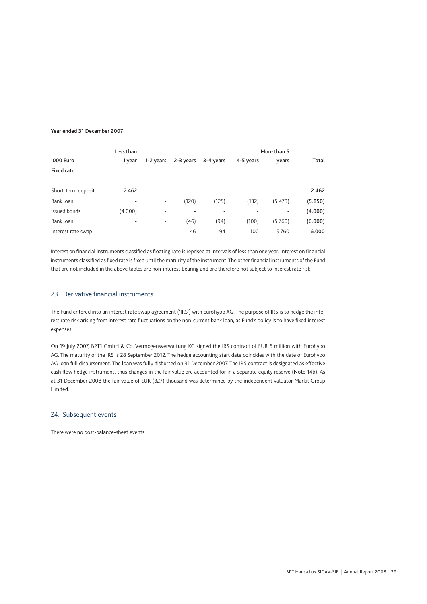#### Year ended 31 December 2007

| Less than          |                          |           |           |           |           |         |         |
|--------------------|--------------------------|-----------|-----------|-----------|-----------|---------|---------|
| '000 Euro          | 1 year                   | 1-2 years | 2-3 years | 3-4 years | 4-5 years | years   | Total   |
| Fixed rate         |                          |           |           |           |           |         |         |
|                    |                          |           |           |           |           |         |         |
| Short-term deposit | 2.462                    | -         |           |           |           | ۰       | 2.462   |
| Bank loan          | $\overline{\phantom{0}}$ | ٠         | (120)     | (125)     | (132)     | (5.473) | (5.850) |
| Issued bonds       | (4.000)                  | -         | -         | -         |           |         | (4.000) |
| Bank loan          | $\overline{\phantom{a}}$ | ٠         | (46)      | (94)      | (100)     | (5.760) | (6.000) |
| Interest rate swap | $\overline{\phantom{a}}$ | ۰         | 46        | 94        | 100       | 5.760   | 6.000   |

Interest on financial instruments classified as floating rate is reprised at intervals of less than one year. Interest on financial instruments classified as fixed rate is fixed until the maturity of the instrument. The other financial instruments of the Fund that are not included in the above tables are non-interest bearing and are therefore not subject to interest rate risk.

## 23. Derivative financial instruments

The Fund entered into an interest rate swap agreement ('IRS') with Eurohypo AG. The purpose of IRS is to hedge the interest rate risk arising from interest rate fluctuations on the non-current bank loan, as Fund's policy is to have fixed interest expenses.

On 19 July 2007, BPT1 GmbH & Co. Vermogensverwaltung KG signed the IRS contract of EUR 6 million with Eurohypo AG. The maturity of the IRS is 28 September 2012. The hedge accounting start date coincides with the date of Eurohypo AG loan full disbursement. The loan was fully disbursed on 31 December 2007. The IRS contract is designated as effective cash flow hedge instrument, thus changes in the fair value are accounted for in a separate equity reserve (Note 14b). As at 31 December 2008 the fair value of EUR (327) thousand was determined by the independent valuator Markit Group Limited.

## 24. Subsequent events

There were no post-balance-sheet events.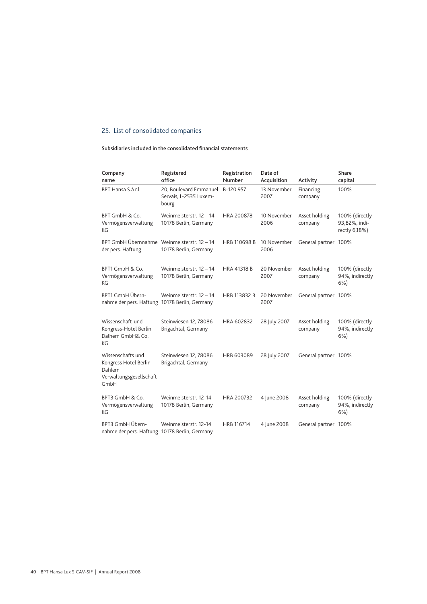## 25. List of consolidated companies

## Subsidiaries included in the consolidated financial statements

| Company<br>name                                                                          | Registered<br>office                                                | Registration<br>Number | Date of<br>Acquisition | Activity                 | Share<br>capital                                 |
|------------------------------------------------------------------------------------------|---------------------------------------------------------------------|------------------------|------------------------|--------------------------|--------------------------------------------------|
| BPT Hansa S.à r.l.                                                                       | 20, Boulevard Emmanuel B-120 957<br>Servais, L-2535 Luxem-<br>bourg |                        | 13 November<br>2007    | Financing<br>company     | 100%                                             |
| BPT GmbH & Co.<br>Vermögensverwaltung<br>КG                                              | Weinmeisterstr. 12 - 14<br>10178 Berlin, Germany                    | <b>HRA 200878</b>      | 10 November<br>2006    | Asset holding<br>company | 100% (directly<br>93,82%, indi-<br>rectly 6,18%) |
| BPT GmbH Übernnahme Weinmeisterstr. 12 - 14<br>der pers. Haftung                         | 10178 Berlin, Germany                                               | <b>HRB 110698 B</b>    | 10 November<br>2006    | General partner 100%     |                                                  |
| BPT1 GmbH & Co.<br>Vermögensverwaltung<br>КG                                             | Weinmeisterstr. 12 - 14<br>10178 Berlin, Germany                    | <b>HRA 41318 B</b>     | 20 November<br>2007    | Asset holding<br>company | 100% (directly<br>94%, indirectly<br>$6%$ )      |
| BPT1 GmbH Übern-<br>nahme der pers. Haftung 10178 Berlin, Germany                        | Weinmeisterstr. 12 - 14                                             | HRB 113832 B           | 20 November<br>2007    | General partner 100%     |                                                  |
| Wissenschaft-und<br>Kongress-Hotel Berlin<br>Dalhem GmbH& Co.<br>КG                      | Steinwiesen 12, 78086<br>Brigachtal, Germany                        | HRA 602832             | 28 July 2007           | Asset holding<br>company | 100% (directly<br>94%, indirectly<br>$6%$ )      |
| Wissenschafts und<br>Kongress Hotel Berlin-<br>Dahlem<br>Verwaltungsgesellschaft<br>GmbH | Steinwiesen 12, 78086<br>Brigachtal, Germany                        | HRB 603089             | 28 July 2007           | General partner 100%     |                                                  |
| BPT3 GmbH & Co.<br>Vermögensverwaltung<br>КG                                             | Weinmeisterstr. 12-14<br>10178 Berlin, Germany                      | HRA 200732             | 4 June 2008            | Asset holding<br>company | 100% (directly<br>94%, indirectly<br>$6%$ )      |
| BPT3 GmbH Übern-<br>nahme der pers. Haftung 10178 Berlin, Germany                        | Weinmeisterstr. 12-14                                               | HRB 116714             | 4 June 2008            | General partner 100%     |                                                  |